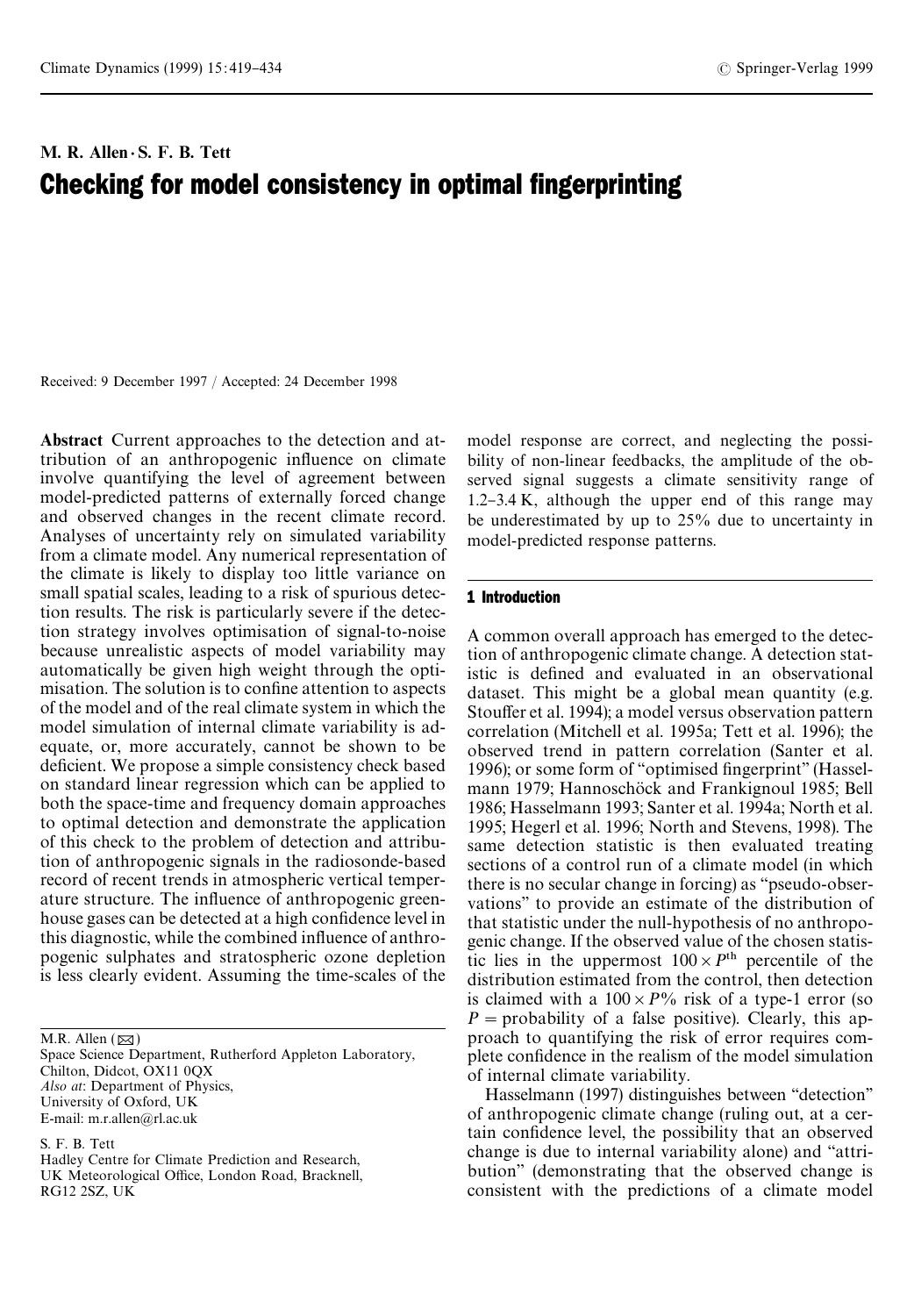# M. R. Allen $\cdot$  S. F. B. Tett Checking for model consistency in optimal fingerprinting

Received: 9 December 1997 / Accepted: 24 December 1998

Abstract Current approaches to the detection and attribution of an anthropogenic influence on climate involve quantifying the level of agreement between model-predicted patterns of externally forced change and observed changes in the recent climate record. Analyses of uncertainty rely on simulated variability from a climate model. Any numerical representation of the climate is likely to display too little variance on small spatial scales, leading to a risk of spurious detection results. The risk is particularly severe if the detection strategy involves optimisation of signal-to-noise because unrealistic aspects of model variability may automatically be given high weight through the optimisation. The solution is to confine attention to aspects of the model and of the real climate system in which the model simulation of internal climate variability is adequate, or, more accurately, cannot be shown to be deficient. We propose a simple consistency check based on standard linear regression which can be applied to both the space-time and frequency domain approaches to optimal detection and demonstrate the application of this check to the problem of detection and attribution of anthropogenic signals in the radiosonde-based record of recent trends in atmospheric vertical temperature structure. The influence of anthropogenic greenhouse gases can be detected at a high confidence level in this diagnostic, while the combined influence of anthropogenic sulphates and stratospheric ozone depletion is less clearly evident. Assuming the time-scales of the

M.R. Allen  $(\boxtimes)$ 

Space Science Department, Rutherford Appleton Laboratory, Chilton, Didcot, OX11 0QX *Also at*: Department of Physics, University of Oxford, UK E-mail: m.r.allen@rl.ac.uk

S. F. B. Tett

Hadley Centre for Climate Prediction and Research, UK Meteorological Office, London Road, Bracknell, RG12 2SZ, UK

model response are correct, and neglecting the possibility of non-linear feedbacks, the amplitude of the observed signal suggests a climate sensitivity range of  $1.2 - 3.4$  K, although the upper end of this range may be underestimated by up to 25% due to uncertainty in model-predicted response patterns.

# 1 Introduction

A common overall approach has emerged to the detection of anthropogenic climate change. A detection statistic is defined and evaluated in an observational dataset. This might be a global mean quantity (e.g. Stouffer et al. 1994); a model versus observation pattern correlation (Mitchell et al. 1995a; Tett et al. 1996); the observed trend in pattern correlation (Santer et al. 1996); or some form of "optimised fingerprint" (Hasselmann 1979; Hannoschöck and Frankignoul 1985; Bell 1986; Hasselmann 1993; Santer et al. 1994a; North et al. 1995; Hegerl et al. 1996; North and Stevens, 1998). The same detection statistic is then evaluated treating sections of a control run of a climate model (in which there is no secular change in forcing) as "pseudo-observations'' to provide an estimate of the distribution of that statistic under the null-hypothesis of no anthropogenic change. If the observed value of the chosen statistic lies in the uppermost  $100 \times P^{\text{th}}$  percentile of the distribution estimated from the control, then detection is claimed with a  $100 \times P\%$  risk of a type-1 error (so  $P =$  probability of a false positive). Clearly, this approach to quantifying the risk of error requires complete confidence in the realism of the model simulation of internal climate variability.

Hasselmann (1997) distinguishes between "detection" of anthropogenic climate change (ruling out, at a certain confidence level, the possibility that an observed change is due to internal variability alone) and "attri-bution'' (demonstrating that the observed change is consistent with the predictions of a climate model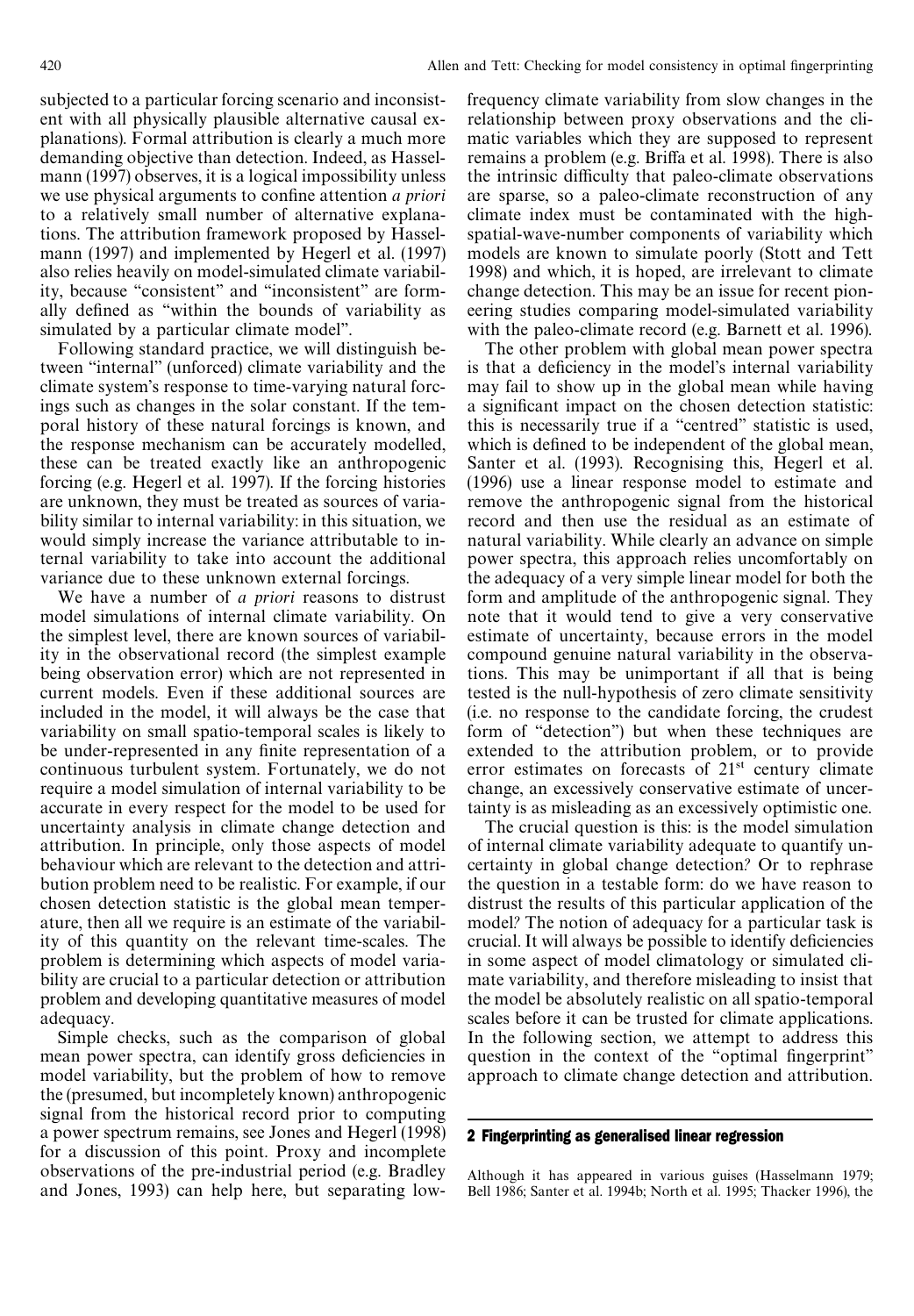subjected to a particular forcing scenario and inconsistent with all physically plausible alternative causal explanations). Formal attribution is clearly a much more demanding objective than detection. Indeed, as Hasselmann (1997) observes, it is a logical impossibility unless we use physical arguments to confine attention *a priori* to a relatively small number of alternative explanations. The attribution framework proposed by Hasselmann (1997) and implemented by Hegerl et al. (1997) also relies heavily on model-simulated climate variability, because "consistent" and "inconsistent" are formally defined as "within the bounds of variability as simulated by a particular climate model''.

Following standard practice, we will distinguish between "internal" (unforced) climate variability and the climate system's response to time-varying natural forcings such as changes in the solar constant. If the temporal history of these natural forcings is known, and the response mechanism can be accurately modelled, these can be treated exactly like an anthropogenic forcing (e.g. Hegerl et al. 1997). If the forcing histories are unknown, they must be treated as sources of variability similar to internal variability: in this situation, we would simply increase the variance attributable to internal variability to take into account the additional variance due to these unknown external forcings.

We have a number of *a priori* reasons to distrust model simulations of internal climate variability. On the simplest level, there are known sources of variability in the observational record (the simplest example being observation error) which are not represented in current models. Even if these additional sources are included in the model, it will always be the case that variability on small spatio-temporal scales is likely to be under-represented in any finite representation of a continuous turbulent system. Fortunately, we do not require a model simulation of internal variability to be accurate in every respect for the model to be used for uncertainty analysis in climate change detection and attribution. In principle, only those aspects of model behaviour which are relevant to the detection and attribution problem need to be realistic. For example, if our chosen detection statistic is the global mean temperature, then all we require is an estimate of the variability of this quantity on the relevant time-scales. The problem is determining which aspects of model variability are crucial to a particular detection or attribution problem and developing quantitative measures of model adequacy.

Simple checks, such as the comparison of global mean power spectra, can identify gross deficiencies in model variability, but the problem of how to remove the (presumed, but incompletely known) anthropogenic signal from the historical record prior to computing a power spectrum remains, see Jones and Hegerl (1998) for a discussion of this point. Proxy and incomplete observations of the pre-industrial period (e.g. Bradley and Jones, 1993) can help here, but separating lowfrequency climate variability from slow changes in the relationship between proxy observations and the climatic variables which they are supposed to represent remains a problem (e.g. Briffa et al. 1998). There is also the intrinsic difficulty that paleo-climate observations are sparse, so a paleo-climate reconstruction of any climate index must be contaminated with the highspatial-wave-number components of variability which models are known to simulate poorly (Stott and Tett 1998) and which, it is hoped, are irrelevant to climate change detection. This may be an issue for recent pioneering studies comparing model-simulated variability with the paleo-climate record (e.g. Barnett et al. 1996).

The other problem with global mean power spectra is that a deficiency in the model's internal variability may fail to show up in the global mean while having a significant impact on the chosen detection statistic: this is necessarily true if a "centred" statistic is used, which is defined to be independent of the global mean, Santer et al. (1993). Recognising this, Hegerl et al. (1996) use a linear response model to estimate and remove the anthropogenic signal from the historical record and then use the residual as an estimate of natural variability. While clearly an advance on simple power spectra, this approach relies uncomfortably on the adequacy of a very simple linear model for both the form and amplitude of the anthropogenic signal. They note that it would tend to give a very conservative estimate of uncertainty, because errors in the model compound genuine natural variability in the observations. This may be unimportant if all that is being tested is the null-hypothesis of zero climate sensitivity (i.e. no response to the candidate forcing, the crudest form of "detection") but when these techniques are extended to the attribution problem, or to provide error estimates on forecasts of  $21<sup>st</sup>$  century climate change, an excessively conservative estimate of uncertainty is as misleading as an excessively optimistic one.

The crucial question is this: is the model simulation of internal climate variability adequate to quantify uncertainty in global change detection*?* Or to rephrase the question in a testable form: do we have reason to distrust the results of this particular application of the model*?* The notion of adequacy for a particular task is crucial. It will always be possible to identify deficiencies in some aspect of model climatology or simulated climate variability, and therefore misleading to insist that the model be absolutely realistic on all spatio-temporal scales before it can be trusted for climate applications. In the following section, we attempt to address this question in the context of the "optimal fingerprint" approach to climate change detection and attribution.

#### 2 Fingerprinting as generalised linear regression

Although it has appeared in various guises (Hasselmann 1979; Bell 1986; Santer et al. 1994b; North et al. 1995; Thacker 1996), the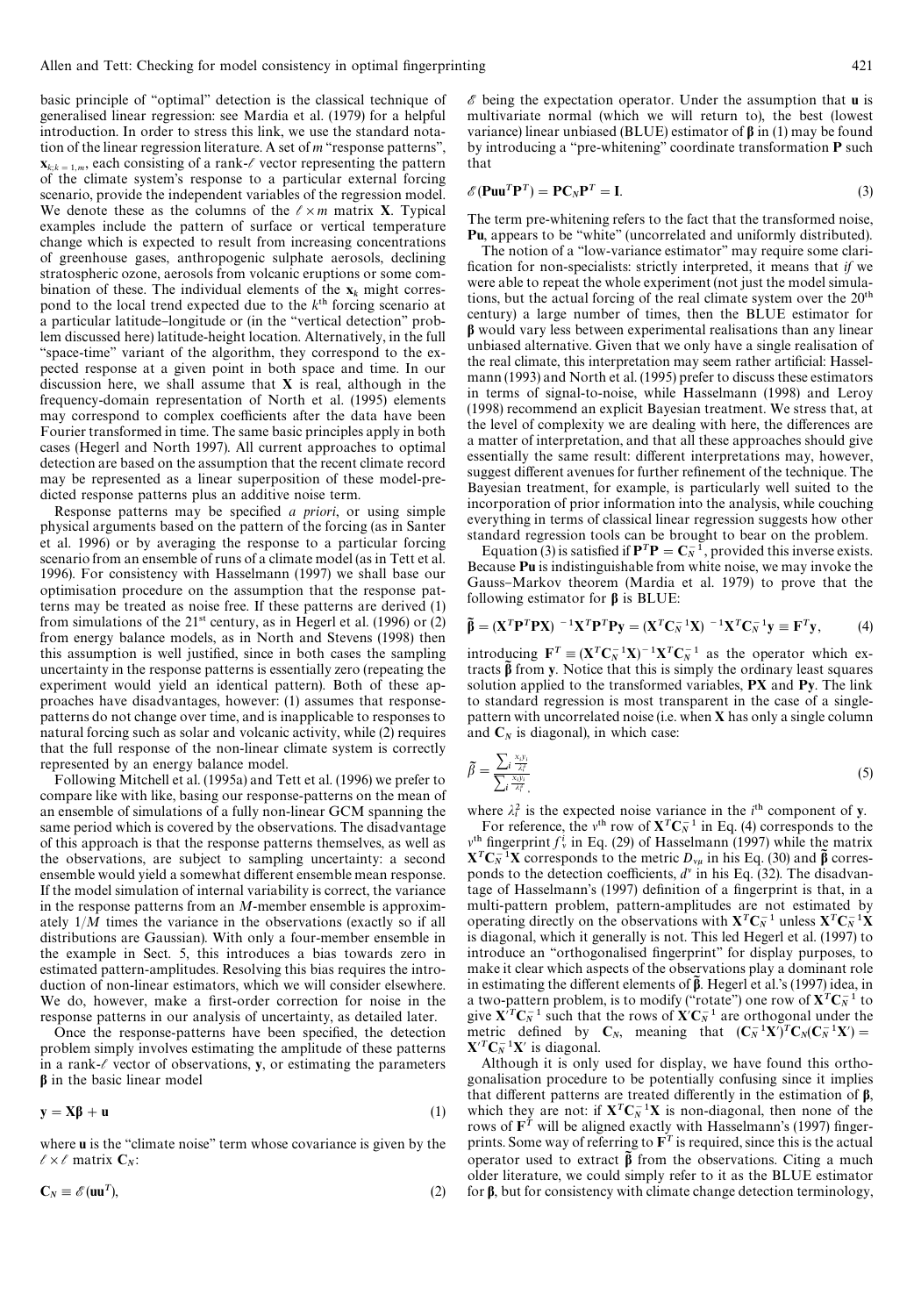basic principle of "optimal" detection is the classical technique of generalised linear regression: see Mardia et al. (1979) for a helpful introduction. In order to stress this link, we use the standard notation of the linear regression literature. A set of *m* "response patterns",  $\mathbf{x}_{k,k=1,m}$ , each consisting of a rank- $\ell$  vector representing the pattern of the climate system's response to a particular external forcing scenario, provide the independent variables of the regression model. We denote these as the columns of the  $\ell \times m$  matrix X. Typical examples include the pattern of surface or vertical temperature change which is expected to result from increasing concentrations of greenhouse gases, anthropogenic sulphate aerosols, declining stratospheric ozone, aerosols from volcanic eruptions or some combination of these. The individual elements of the  $x_k$  might correspond to the local trend expected due to the  $k<sup>th</sup>$  forcing scenario at a particular latitude-longitude or (in the "vertical detection" problem discussed here) latitude-height location. Alternatively, in the full "space-time" variant of the algorithm, they correspond to the expected response at a given point in both space and time. In our discussion here, we shall assume that  $X$  is real, although in the frequency-domain representation of North et al. (1995) elements may correspond to complex coefficients after the data have been Fourier transformed in time. The same basic principles apply in both cases (Hegerl and North 1997). All current approaches to optimal detection are based on the assumption that the recent climate record may be represented as a linear superposition of these model-predicted response patterns plus an additive noise term.

Response patterns may be specified *a priori*, or using simple physical arguments based on the pattern of the forcing (as in Santer et al. 1996) or by averaging the response to a particular forcing scenario from an ensemble of runs of a climate model (as in Tett et al. 1996). For consistency with Hasselmann (1997) we shall base our optimisation procedure on the assumption that the response patterns may be treated as noise free. If these patterns are derived (1) from simulations of the  $21^{st}$  century, as in Hegerl et al. (1996) or (2) from energy balance models, as in North and Stevens (1998) then this assumption is well justified, since in both cases the sampling uncertainty in the response patterns is essentially zero (repeating the experiment would yield an identical pattern). Both of these approaches have disadvantages, however: (1) assumes that responsepatterns do not change over time, and is inapplicable to responses to natural forcing such as solar and volcanic activity, while (2) requires that the full response of the non-linear climate system is correctly represented by an energy balance model.

Following Mitchell et al. (1995a) and Tett et al. (1996) we prefer to compare like with like, basing our response-patterns on the mean of an ensemble of simulations of a fully non-linear GCM spanning the same period which is covered by the observations. The disadvantage of this approach is that the response patterns themselves, as well as the observations, are subject to sampling uncertainty: a second ensemble would yield a somewhat different ensemble mean response. If the model simulation of internal variability is correct, the variance in the response patterns from an *M*-member ensemble is approximately 1/*M* times the variance in the observations (exactly so if all distributions are Gaussian). With only a four-member ensemble in the example in Sect. 5, this introduces a bias towards zero in estimated pattern-amplitudes. Resolving this bias requires the introduction of non-linear estimators, which we will consider elsewhere. We do, however, make a first-order correction for noise in the response patterns in our analysis of uncertainty, as detailed later.

Once the response-patterns have been specified, the detection problem simply involves estimating the amplitude of these patterns in a rank- $\ell$  vector of observations, y, or estimating the parameters **b** in the basic linear model

$$
y = X\beta + u \tag{1}
$$

where **u** is the "climate noise" term whose covariance is given by the  $\ell \times \ell$  matrix  $C_N$ :

$$
\mathbf{C}_N \equiv \mathcal{E}(\mathbf{u}\mathbf{u}^T),\tag{2}
$$

 $\mathscr E$  being the expectation operator. Under the assumption that **u** is multivariate normal (which we will return to), the best (lowest variance) linear unbiased (BLUE) estimator of  $\beta$  in (1) may be found by introducing a "pre-whitening" coordinate transformation P such that

$$
\mathscr{E}(\mathbf{P} \mathbf{u} \mathbf{u}^T \mathbf{P}^T) = \mathbf{P} \mathbf{C}_N \mathbf{P}^T = \mathbf{I}.
$$
 (3)

The term pre-whitening refers to the fact that the transformed noise, Pu, appears to be "white" (uncorrelated and uniformly distributed).

The notion of a "low-variance estimator" may require some clarification for non-specialists: strictly interpreted, it means that *if* we were able to repeat the whole experiment (not just the model simulations, but the actual forcing of the real climate system over the  $20<sup>th</sup>$ century) a large number of times, then the BLUE estimator for **b** would vary less between experimental realisations than any linear unbiased alternative. Given that we only have a single realisation of the real climate, this interpretation may seem rather artificial: Hasselmann (1993) and North et al. (1995) prefer to discuss these estimators in terms of signal-to-noise, while Hasselmann (1998) and Leroy (1998) recommend an explicit Bayesian treatment. We stress that, at the level of complexity we are dealing with here, the differences are a matter of interpretation, and that all these approaches should give essentially the same result: different interpretations may, however, suggest different avenues for further refinement of the technique. The Bayesian treatment, for example, is particularly well suited to the incorporation of prior information into the analysis, while couching everything in terms of classical linear regression suggests how other standard regression tools can be brought to bear on the problem.

Equation (3) is satisfied if  $P^T P = C_N^T$ , provided this inverse exists.<br>Because Pu is indistinguishable from white noise, we may invoke the Gauss-Markov theorem (Mardia et al. 1979) to prove that the following estimator for  $\beta$  is BLUE:

$$
\widetilde{\beta} = (\mathbf{X}^T \mathbf{P}^T \mathbf{P} \mathbf{X})^{-1} \mathbf{X}^T \mathbf{P}^T \mathbf{P} \mathbf{y} = (\mathbf{X}^T \mathbf{C}_N^{-1} \mathbf{X})^{-1} \mathbf{X}^T \mathbf{C}_N^{-1} \mathbf{y} \equiv \mathbf{F}^T \mathbf{y}, \tag{4}
$$

introducing  $\mathbf{F}^T \equiv (\mathbf{X}^T \mathbf{C}_N^{-1} \mathbf{X})^{-1} \mathbf{X}^T \mathbf{C}_N^{-1}$  as the operator which extracts  $\tilde{\beta}$  from y. Notice that this is simply the ordinary least squares solution applied to the transformed variables, PX and Py. The link to standard regression is most transparent in the case of a singlepattern with uncorrelated noise (i.e. when X has only a single column and  $C_N$  is diagonal), in which case:

$$
\widetilde{\beta} = \frac{\sum_{i} \frac{x_i y_i}{\lambda_i^2}}{\sum_{i} \frac{x_i y_i}{\lambda_i^2}}\tag{5}
$$

where  $\lambda_i^2$  is the expected noise variance in the *i*<sup>th</sup> component of y.

For reference, the v<sup>th</sup> row of  $X^T C_N^{-1}$  in Eq. (4) corresponds to the <sup>th</sup> fingerprint  $f_v^i$  in Eq. (29) of Hasselmann (1997) while the matrix  $\mathbf{Y}^T \mathbf{C}^{-1} \mathbf{Y}$  corresponds to the matrix  $\mathbf{D}$ , in his Eq. (30) and  $\mathbf{\tilde{R}}$  corresponds  $X^T C_N^{-1} X$  corresponds to the metric  $D_{\nu\mu}$  in his Eq. (30) and  $\tilde{\beta}$  corres-<br>namely to the detection coefficients  $d^{\nu}$  in his Eq. (32). The diseducer ponds to the detection coefficients,  $d^v$  in his Eq. (32). The disadvantage of Hasselmann's (1997) definition of a fingerprint is that, in a multi-pattern problem, pattern-amplitudes are not estimated by operating directly on the observations with  $X^T C_N^{-1}$  unless  $X^T C_N^{-1} X$ is diagonal, which it generally is not. This led Hegerl et al. (1997) to introduce an "orthogonalised fingerprint" for display purposes, to make it clear which aspects of the observations play a dominant role in estimating the different elements of  $\beta$ . Hegerl et al.'s (1997) idea, in a two-pattern problem, is to modify ("rotate") one row of  $X^T C_N^{-1}$  to give  $X^T C_N^{-1}$  such that the rows of  $X^T C_N^{-1}$  are orthogonal under the metric defined by  $C_N$ , meaning that  $(C_N^{-1}X)^T C_N (C_N^{-1}X) =$  $X^T C_N^{-1} X'$  is diagonal.

Although it is only used for display, we have found this orthogonalisation procedure to be potentially confusing since it implies that different patterns are treated differently in the estimation of  $\beta$ , which they are not: if  $X^T C_N^{-1} X$  is non-diagonal, then none of the rows of  $F<sup>T</sup>$  will be aligned exactly with Hasselmann's (1997) fingerprints. Some way of referring to  $\mathbf{F}^T$  is required, since this is the actual operator used to extract  $\tilde{\beta}$  from the observations. Citing a much older literature, we could simply refer to it as the BLUE estimator for  $\beta$ , but for consistency with climate change detection terminology,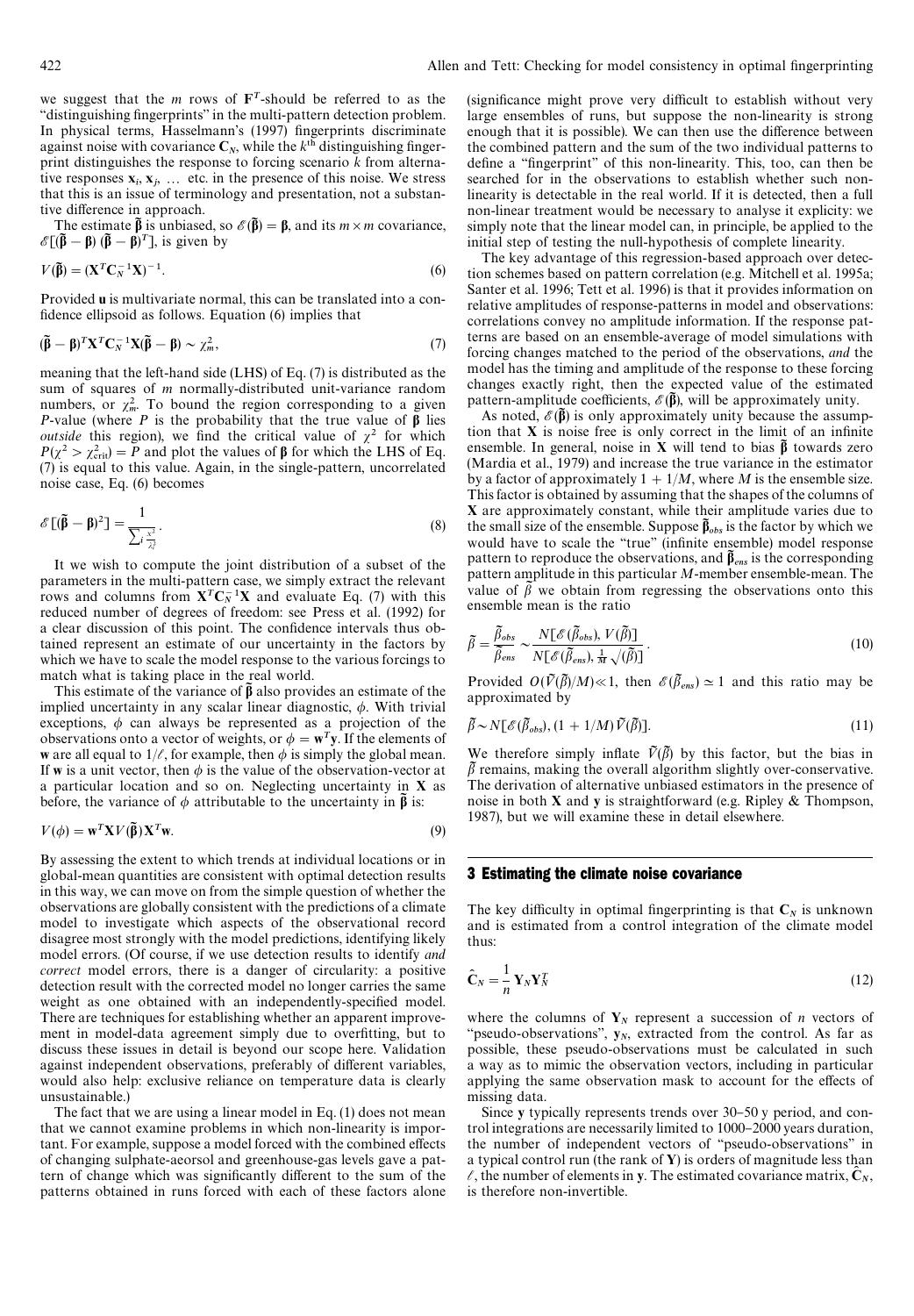we suggest that the *m* rows of  $\mathbf{F}^T$ -should be referred to as the "distinguishing fingerprints" in the multi-pattern detection problem. In physical terms, Hasselmann's (1997) fingerprints discriminate against noise with covariance  $C_N$ , while the  $k<sup>th</sup>$  distinguishing finger print distinguishes the response to forcing scenario *k* from alternative responses  $x_i, x_j, \ldots$  etc. in the presence of this noise. We stress that this is an issue of terminology and presentation, not a substantive difference in approach.

The estimate  $\tilde{\beta}$  is unbiased, so  $\mathscr{E}(\tilde{\beta}) = \beta$ , and its *m* × *m* covariance,  $\mathscr{E}[(\tilde{\beta} - \beta) (\tilde{\beta} - \beta)^T]$ , is given by

$$
V(\widetilde{\mathbf{\beta}}) = (\mathbf{X}^T \mathbf{C}_N^{-1} \mathbf{X})^{-1}.
$$
 (6)

Provided u is multivariate normal, this can be translated into a con fidence ellipsoid as follows. Equation  $(6)$  implies that

$$
(\tilde{\beta} - \beta)^T \mathbf{X}^T \mathbf{C}_N^{-1} \mathbf{X} (\tilde{\beta} - \beta) \sim \chi_m^2,
$$
\n<sup>(7)</sup>

meaning that the left-hand side (LHS) of Eq. (7) is distributed as the sum of squares of *m* normally-distributed unit-variance random numbers, or  $\chi^2_m$ . To bound the region corresponding to a given *P*-value (where *P* is the probability that the true value of  $\beta$  lies *outside* this region), we find the critical value of  $\chi^2$  for which  $P(\chi^2 > \chi^2_{\text{crit}}) = P$  and plot the values of  $\beta$  for which the LHS of Eq. (7) is equal to this value. Again, in the single-pattern, uncorrelated noise case, Eq. (6) becomes

$$
\mathscr{E}\left[(\widetilde{\boldsymbol{\beta}} - \boldsymbol{\beta})^2\right] = \frac{1}{\sum_i \frac{x^2}{\lambda_i^2}}.
$$
\n(8)

It we wish to compute the joint distribution of a subset of the parameters in the multi-pattern case, we simply extract the relevant rows and columns from  $X^T C_N^{-1} X$  and evaluate Eq. (7) with this reduced number of degrees of freedom: see Press et al. (1992) for a clear discussion of this point. The confidence intervals thus obtained represent an estimate of our uncertainty in the factors by which we have to scale the model response to the various forcings to match what is taking place in the real world.

This estimate of the variance of  $\tilde{\beta}$  also provides an estimate of the implied uncertainty in any scalar linear diagnostic,  $\phi$ . With trivial exceptions,  $\phi$  can always be represented as a projection of the observations onto a vector of weights, or  $\phi = \mathbf{w}^T \mathbf{y}$ . If the elements of w are all equal to  $1/\ell$ , for example, then  $\phi$  is simply the global mean. If w is a unit vector, then  $\phi$  is the value of the observation-vector at a particular location and so on. Neglecting uncertainty in X as before, the variance of  $\phi$  attributable to the uncertainty in  $\tilde{\beta}$  is:

$$
V(\phi) = \mathbf{w}^T \mathbf{X} V(\widetilde{\boldsymbol{\beta}}) \mathbf{X}^T \mathbf{w}.
$$
 (9)

By assessing the extent to which trends at individual locations or in global-mean quantities are consistent with optimal detection results in this way, we can move on from the simple question of whether the observations are globally consistent with the predictions of a climate model to investigate which aspects of the observational record disagree most strongly with the model predictions, identifying likely model errors. (Of course, if we use detection results to identify *and correct* model errors, there is a danger of circularity: a positive detection result with the corrected model no longer carries the same weight as one obtained with an independently-specified model. There are techniques for establishing whether an apparent improvement in model-data agreement simply due to overfitting, but to discuss these issues in detail is beyond our scope here. Validation against independent observations, preferably of different variables, would also help: exclusive reliance on temperature data is clearly unsustainable.)

The fact that we are using a linear model in Eq. (1) does not mean that we cannot examine problems in which non-linearity is important. For example, suppose a model forced with the combined effects of changing sulphate-aeorsol and greenhouse-gas levels gave a pattern of change which was significantly different to the sum of the patterns obtained in runs forced with each of these factors alone (significance might prove very difficult to establish without very large ensembles of runs, but suppose the non-linearity is strong enough that it is possible). We can then use the difference between the combined pattern and the sum of the two individual patterns to define a "fingerprint" of this non-linearity. This, too, can then be searched for in the observations to establish whether such nonlinearity is detectable in the real world. If it is detected, then a full non-linear treatment would be necessary to analyse it explicity: we simply note that the linear model can, in principle, be applied to the initial step of testing the null-hypothesis of complete linearity.

The key advantage of this regression-based approach over detection schemes based on pattern correlation (e.g. Mitchell et al. 1995a; Santer et al. 1996; Tett et al. 1996) is that it provides information on relative amplitudes of response-patterns in model and observations: correlations convey no amplitude information. If the response patterns are based on an ensemble-average of model simulations with forcing changes matched to the period of the observations, *and* the model has the timing and amplitude of the response to these forcing changes exactly right, then the expected value of the estimated pattern-amplitude coefficients,  $\mathscr{E}(\tilde{\beta})$ , will be approximately unity.

As noted,  $\mathscr{E}(\tilde{\beta})$  is only approximately unity because the assumption that  $X$  is noise free is only correct in the limit of an infinite ensemble. In general, noise in  $\bar{X}$  will tend to bias  $\tilde{\beta}$  towards zero (Mardia et al., 1979) and increase the true variance in the estimator by a factor of approximately  $1 + 1/M$ , where *M* is the ensemble size. This factor is obtained by assuming that the shapes of the columns of X are approximately constant, while their amplitude varies due to the small size of the ensemble. Suppose  $\tilde{\beta}_{obs}$  is the factor by which we would have to scale the "true" (infinite ensemble) model response pattern to reproduce the observations, and  $\tilde{\beta}_{ens}$  is the corresponding pattern amplitude in this particular *M*-member ensemble-mean. The value of  $\beta$  we obtain from regressing the observations onto this ensemble mean is the ratio

$$
\tilde{\beta} = \frac{\tilde{\beta}_{obs}}{\tilde{\beta}_{ens}} \sim \frac{N[\mathscr{E}(\tilde{\beta}_{obs}), V(\tilde{\beta})]}{N[\mathscr{E}(\tilde{\beta}_{ens}), \frac{1}{M}\sqrt{(\tilde{\beta})}]}.
$$
\n(10)

Provided  $O(\tilde{V}(\tilde{\beta})/M) \ll 1$ , then  $\mathscr{E}(\tilde{\beta}_{ens}) \simeq 1$  and this ratio may be approximated by

$$
\tilde{\beta} \sim N[\mathcal{E}(\tilde{\beta}_{obs}), (1 + 1/M)\tilde{V}(\tilde{\beta})]. \tag{11}
$$

We therefore simply inflate  $\tilde{V}(\tilde{\beta})$  by this factor, but the bias in  $\beta$  remains, making the overall algorithm slightly over-conservative. The derivation of alternative unbiased estimators in the presence of noise in both X and y is straightforward (e.g. Ripley & Thompson, 1987), but we will examine these in detail elsewhere.

## 3 Estimating the climate noise covariance

The key difficulty in optimal fingerprinting is that  $C_N$  is unknown and is estimated from a control integration of the climate model thus:

$$
\hat{\mathbf{C}}_N = \frac{1}{n} \mathbf{Y}_N \mathbf{Y}_N^T \tag{12}
$$

where the columns of  $Y_N$  represent a succession of *n* vectors of "pseudo-observations",  $y_N$ , extracted from the control. As far as possible, these pseudo-observations must be calculated in such a way as to mimic the observation vectors, including in particular applying the same observation mask to account for the effects of missing data.

Since y typically represents trends over 30-50 y period, and control integrations are necessarily limited to  $1000-2000$  years duration, the number of independent vectors of "pseudo-observations" in a typical control run (the rank of Y) is orders of magnitude less than  $\ell$ , the number of elements in y. The estimated covariance matrix,  $\tilde{\mathbf{C}}_N$ , is therefore non-invertible.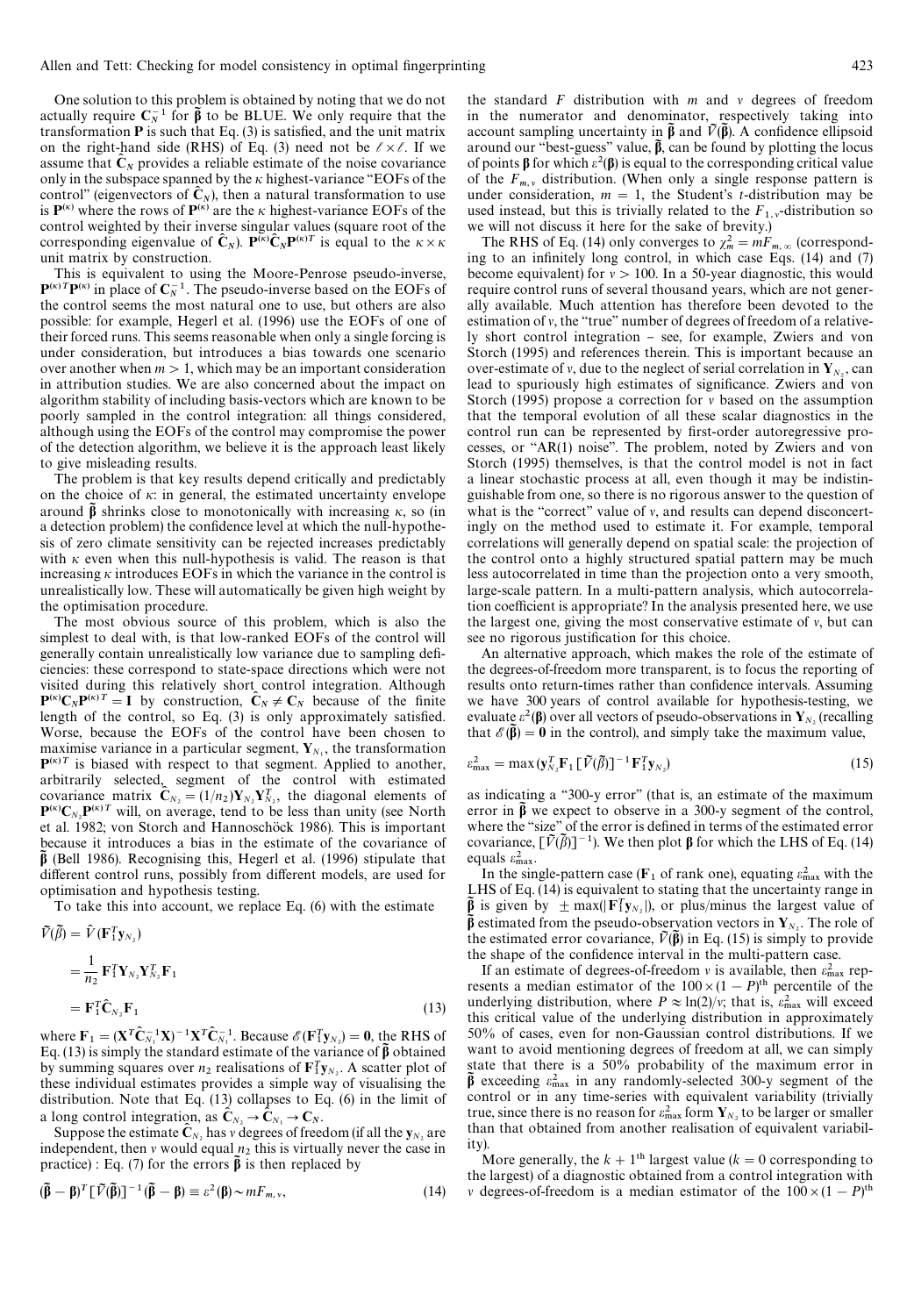One solution to this problem is obtained by noting that we do not actually require  $C_N^{-1}$  for  $\tilde{\beta}$  to be BLUE. We only require that the transformation  $P$  is such that Eq. (3) is satisfied, and the unit matrix on the right-hand side (RHS) of Eq. (3) need not be  $\ell \times \ell$ . If we assume that  $\hat{\mathbf{C}}_N$  provides a reliable estimate of the noise covariance only in the subspace spanned by the  $\kappa$  highest-variance "EOFs of the control" (eigenvectors of  $\tilde{C}_N$ ), then a natural transformation to use is  $P^{(\kappa)}$  where the rows of  $P^{(\kappa)}$  are the  $\kappa$  highest-variance EOFs of the control weighted by their inverse singular values (square root of the corresponding eigenvalue of  $\hat{\mathbf{C}}_N$ ).  $\mathbf{P}^{(\kappa)}\hat{\mathbf{C}}_N\mathbf{P}^{(\kappa)T}$  is equal to the  $\kappa \times \kappa$ unit matrix by construction.

This is equivalent to using the Moore-Penrose pseudo-inverse,  ${\bf P}^{(\kappa)}$ TP( $^{(\kappa)}$ ) in place of  ${\bf C}_N^{-1}$ . The pseudo-inverse based on the EOFs of the control seems the most natural one to use, but others are also possible: for example, Hegerl et al. (1996) use the EOFs of one of their forced runs. This seems reasonable when only a single forcing is under consideration, but introduces a bias towards one scenario over another when  $m > 1$ , which may be an important consideration in attribution studies. We are also concerned about the impact on algorithm stability of including basis-vectors which are known to be poorly sampled in the control integration: all things considered, although using the EOFs of the control may compromise the power of the detection algorithm, we believe it is the approach least likely to give misleading results.

The problem is that key results depend critically and predictably on the choice of  $\kappa$ : in general, the estimated uncertainty envelope around  $\hat{\beta}$  shrinks close to monotonically with increasing  $\kappa$ , so (in a detection problem) the confidence level at which the null-hypothesis of zero climate sensitivity can be rejected increases predictably with  $\kappa$  even when this null-hypothesis is valid. The reason is that increasing  $\kappa$  introduces EOFs in which the variance in the control is unrealistically low. These will automatically be given high weight by the optimisation procedure.

The most obvious source of this problem, which is also the simplest to deal with, is that low-ranked EOFs of the control will generally contain unrealistically low variance due to sampling deficiencies: these correspond to state-space directions which were not visited during this relatively short control integration. Although  $P^{(\kappa)}C_N P^{(\kappa)T} = I$  by construction,  $C_N \neq C_N$  because of the finite length of the control, so Eq.  $(3)$  is only approximately satisfied. Worse, because the EOFs of the control have been chosen to maximise variance in a particular segment,  $Y_{N_1}$ , the transformation  $\mathbf{P}^{(\kappa)T}$  is biased with respect to that segment. Applied to another, arbitrarily selected, segment of the control with estimated covariance matrix  $\hat{\mathbf{C}}_{N_2} = (1/n_2) \mathbf{Y}_{N_2} \mathbf{Y}_{N_2}^T$ , the diagonal elements of  $P^{(\kappa)}C_{N_2}P^{(\kappa)T}$  will, on average, tend to be less than unity (see North et al. 1982; von Storch and Hannoschöck 1986). This is important because it introduces a bias in the estimate of the covariance of  $\beta$ <sup>3</sup> (Bell 1986). Recognising this, Hegerl et al. (1996) stipulate that different control runs, possibly from different models, are used for optimisation and hypothesis testing.

To take this into account, we replace Eq. (6) with the estimate

$$
\tilde{V}(\tilde{\beta}) = \hat{V} (\mathbf{F}_1^T \mathbf{y}_{N_2})
$$
\n
$$
= \frac{1}{n_2} \mathbf{F}_1^T \mathbf{Y}_{N_2} \mathbf{Y}_{N_2}^T \mathbf{F}_1
$$
\n
$$
= \mathbf{F}_1^T \hat{\mathbf{C}}_{N_2} \mathbf{F}_1
$$
\n(13)

where  $\mathbf{F}_1 = (\mathbf{X}^T \hat{\mathbf{C}}_{N_1}^{-1} \mathbf{X})^{-1} \mathbf{X}^T \hat{\mathbf{C}}_{N_1}^{-1}$ . Because  $\mathcal{E}(\mathbf{F}_1^T \mathbf{y}_{N_2}) = \mathbf{0}$ , the RHS of Eq. (13) is simply the standard estimate of the variance of  $\beta$  obtained by summing squares over  $n_2$  realisations of  $\mathbf{F}_1^T \mathbf{y}_{N_2}$ . A scatter plot of these individual estimates provides a simple way of visualising the distribution. Note that Eq. (13) collapses to Eq. (6) in the limit of a long control integration, as  $\hat{\mathbf{C}}_{N_2} \to \hat{\mathbf{C}}_{N_1} \to \mathbf{C}_N$ .

Suppose the estimate  $\mathbf{C}_{N_2}$  has v degrees of freedom (if all the  $\mathbf{y}_{N_2}$  are independent, then v would equal  $n_2$  this is virtually never the case in practice) : Eq. (7) for the errors  $\tilde{\beta}$  is then replaced by

$$
(\tilde{\beta} - \beta)^T [\tilde{V}(\tilde{\beta})]^{-1} (\tilde{\beta} - \beta) \equiv \varepsilon^2(\beta) \sim mF_{m,v}, \qquad (14)
$$

the standard  $F$  distribution with  $m$  and  $v$  degrees of freedom in the numerator and denominator, respectively taking into account sampling uncertainty in  $\tilde{\beta}$  and  $\tilde{V}(\tilde{\beta})$ . A confidence ellipsoid around our "best-guess" value,  $\hat{\beta}$ , can be found by plotting the locus of points  $\beta$  for which  $\varepsilon^2(\beta)$  is equal to the corresponding critical value of the  $F_{m,v}$  distribution. (When only a single response pattern is under consideration,  $m = 1$ , the Student's *t*-distribution may be used instead, but this is trivially related to the  $F_{1,y}$ -distribution so<br>we will not discuss it has for the sake of heavity. we will not discuss it here for the sake of brevity.)

The RHS of Eq. (14) only converges to  $\chi^2_m = mF_m \propto$  (corresponding to an infinitely long control, in which case Eqs.  $(14)$  and  $(7)$ become equivalent) for  $v > 100$ . In a 50-year diagnostic, this would require control runs of several thousand years, which are not generally available. Much attention has therefore been devoted to the estimation of  $v$ , the "true" number of degrees of freedom of a relatively short control integration - see, for example, Zwiers and von Storch (1995) and references therein. This is important because an over-estimate of v, due to the neglect of serial correlation in  $Y_{N_2}$ , can lead to spuriously high estimates of significance. Zwiers and von Storch (1995) propose a correction for  $\nu$  based on the assumption that the temporal evolution of all these scalar diagnostics in the control run can be represented by first-order autoregressive processes, or " $AR(1)$  noise". The problem, noted by Zwiers and von Storch (1995) themselves, is that the control model is not in fact a linear stochastic process at all, even though it may be indistinguishable from one, so there is no rigorous answer to the question of what is the "correct" value of  $v$ , and results can depend disconcertingly on the method used to estimate it. For example, temporal correlations will generally depend on spatial scale: the projection of the control onto a highly structured spatial pattern may be much less autocorrelated in time than the projection onto a very smooth, large-scale pattern. In a multi-pattern analysis, which autocorrelation coefficient is appropriate? In the analysis presented here, we use the largest one, giving the most conservative estimate of  $v$ , but can see no rigorous justification for this choice.

An alternative approach, which makes the role of the estimate of the degrees-of-freedom more transparent, is to focus the reporting of results onto return-times rather than confidence intervals. Assuming we have 300 years of control available for hypothesis-testing, we evaluate  $\varepsilon^2(\beta)$  over all vectors of pseudo-observations in Y<sub>N<sub>2</sub></sub> (recalling that  $\mathscr{E}(\vec{\beta}) = 0$  in the control), and simply take the maximum value,

$$
\varepsilon_{\max}^2 = \max(\mathbf{y}_{N_2}^T \mathbf{F}_1 \left[ \tilde{V}(\tilde{\beta}) \right]^{-1} \mathbf{F}_1^T \mathbf{y}_{N_2})
$$
(15)

as indicating a "300-y error" (that is, an estimate of the maximum error in  $\tilde{\beta}$  we expect to observe in a 300-y segment of the control, where the "size" of the error is defined in terms of the estimated error covariance,  $\lceil \tilde{V}(\tilde{\beta}) \rceil^{-1}$ ). We then plot  $\beta$  for which the LHS of Eq. (14) equals  $\varepsilon_{\text{max}}^2$ .

In the single-pattern case ( $\mathbf{F}_1$  of rank one), equating  $\varepsilon_{\text{max}}^2$  with the LHS of Eq. (14) is equivalent to stating that the uncertainty range in  $\frac{\tilde{\beta}}{2}$  is given by  $\pm \max(|\mathbf{F}_1^T \mathbf{y}_{N_2}|)$ , or plus/minus the largest value of  $\beta$  estimated from the pseudo-observation vectors in Y<sub>*N*2</sub>. The role of the estimated error covariance,  $\tilde{V}(\tilde{\beta})$  in Eq. (15) is simply to provide the shape of the confidence interval in the multi-pattern case.

If an estimate of degrees-of-freedom v is available, then  $\varepsilon_{\text{max}}^2$  represents a median estimator of the  $100 \times (1 - P)$ <sup>th</sup> percentile of the underlying distribution, where  $P \approx \ln(2)/v$ ; that is,  $\varepsilon_{\text{max}}^2$  will exceed this critical value of the underlying distribution in approximately 50% of cases, even for non-Gaussian control distributions. If we want to avoid mentioning degrees of freedom at all, we can simply state that there is a 50% probability of the maximum error in  $\beta$ <sup>3</sup> exceeding  $\varepsilon_{\text{max}}^2$  in any randomly-selected 300-y segment of the control or in any time-series with equivalent variability (trivially true, since there is no reason for  $\varepsilon_{\text{max}}^2$  form  $\mathbf{Y}_{N_2}$  to be larger or smaller than that obtained from another realisation of equivalent variability).

More generally, the  $k + 1$ <sup>th</sup> largest value ( $k = 0$  corresponding to the largest) of a diagnostic obtained from a control integration with v degrees-of-freedom is a median estimator of the  $100 \times (1 - P)$ <sup>th</sup>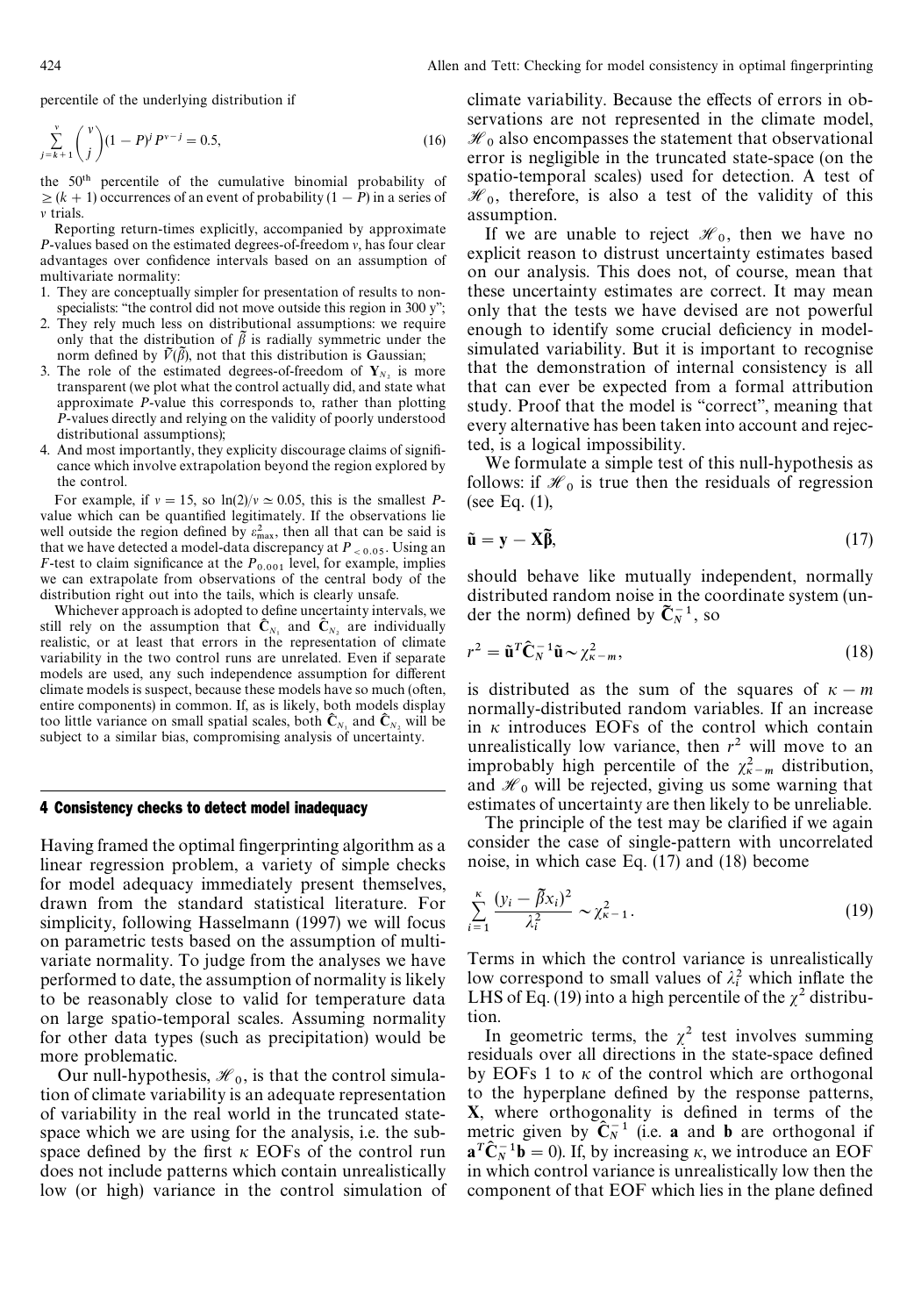percentile of the underlying distribution if

$$
\sum_{j=k+1}^{v} \binom{v}{j} (1 - P)^j P^{v-j} = 0.5,
$$
\n(16)

the 50<sup>th</sup> percentile of the cumulative binomial probability of  $\geq (k + 1)$  occurrences of an event of probability  $(1 - P)$  in a series of  $\nu$  trials.

Reporting return-times explicitly, accompanied by approximate  $P$ -values based on the estimated degrees-of-freedom  $v$ , has four clear advantages over confidence intervals based on an assumption of multivariate normality:

- 1. They are conceptually simpler for presentation of results to nonspecialists: "the control did not move outside this region in 300 y";
- 2. They rely much less on distributional assumptions: we require only that the distribution of  $\tilde{\beta}$  is radially symmetric under the norm defined by  $\tilde{V}(\tilde{\beta})$ , not that this distribution is Gaussian;
- 3. The role of the estimated degrees-of-freedom of  $Y_{N_2}$  is more transparent (we plot what the control actually did, and state what approximate *P*-value this corresponds to, rather than plotting *P*-values directly and relying on the validity of poorly understood distributional assumptions);
- 4. And most importantly, they explicity discourage claims of significance which involve extrapolation beyond the region explored by the control.

For example, if  $v = 15$ , so  $\ln(2)/v \approx 0.05$ , this is the smallest *P*value which can be quantified legitimately. If the observations lie well outside the region defined by  $\varepsilon_{\text{max}}^2$ , then all that can be said is that we have detected a model-data discrepancy at  $P_{< 0.05}$ . Using an *F*-test to claim significance at the  $P_{0.001}$  level, for example, implies we can extrapolate from observations of the central body of the distribution right out into the tails, which is clearly unsafe.

Whichever approach is adopted to define uncertainty intervals, we still rely on the assumption that  $\hat{\mathbf{C}}_{N_1}$  and  $\hat{\mathbf{C}}_{N_2}$  are individually realistic, or at least that errors in the representation of climate variability in the two control runs are unrelated. Even if separate models are used, any such independence assumption for different climate models is suspect, because these models have so much (often, entire components) in common. If, as is likely, both models display too little variance on small spatial scales, both  $\hat{\mathbf{C}}_{N_1}$  and  $\hat{\mathbf{C}}_{N_2}$  will be subject to a similar bias, compromising analysis of uncertainty.

## 4 Consistency checks to detect model inadequacy

Having framed the optimal fingerprinting algorithm as a linear regression problem, a variety of simple checks for model adequacy immediately present themselves, drawn from the standard statistical literature. For simplicity, following Hasselmann (1997) we will focus on parametric tests based on the assumption of multivariate normality. To judge from the analyses we have performed to date, the assumption of normality is likely to be reasonably close to valid for temperature data on large spatio-temporal scales. Assuming normality for other data types (such as precipitation) would be more problematic.

Our null-hypothesis,  $\mathcal{H}_0$ , is that the control simulation of climate variability is an adequate representation of variability in the real world in the truncated statespace which we are using for the analysis, i.e. the subspace defined by the first  $\kappa$  EOFs of the control run does not include patterns which contain unrealistically low (or high) variance in the control simulation of

climate variability. Because the effects of errors in observations are not represented in the climate model,  $\mathcal{H}_0$  also encompasses the statement that observational error is negligible in the truncated state-space (on the spatio-temporal scales) used for detection. A test of  $\mathcal{H}_0$ , therefore, is also a test of the validity of this assumption.

If we are unable to reject  $\mathcal{H}_0$ , then we have no<br>militimes are distinct proportions estimates have explicit reason to distrust uncertainty estimates based on our analysis. This does not, of course, mean that these uncertainty estimates are correct. It may mean only that the tests we have devised are not powerful enough to identify some crucial deficiency in modelsimulated variability. But it is important to recognise that the demonstration of internal consistency is all that can ever be expected from a formal attribution study. Proof that the model is "correct", meaning that every alternative has been taken into account and rejected, is a logical impossibility.

We formulate a simple test of this null-hypothesis as follows: if  $\mathcal{H}_0$  is true then the residuals of regression (see Eq. (1),

$$
\tilde{\mathbf{u}} = \mathbf{y} - \mathbf{X}\tilde{\mathbf{\beta}},\tag{17}
$$

should behave like mutually independent, normally distributed random noise in the coordinate system (under the norm) defined by  $\tilde{\mathbf{C}}_N^{-1}$ , so

$$
r^2 = \tilde{\mathbf{u}}^T \hat{\mathbf{C}}_N^{-1} \tilde{\mathbf{u}} \sim \chi_{\kappa - m}^2,\tag{18}
$$

is distributed as the sum of the squares of  $\kappa - m$ normally-distributed random variables. If an increase in  $\kappa$  introduces EOFs of the control which contain unrealistically low variance, then  $r^2$  will move to an improbably high percentile of the  $\chi^2_{n-m}$  distribution, and  $\mathcal{H}_0$  will be rejected, giving us some warning that estimates of uncertainty are then likely to be unreliable.

The principle of the test may be clarified if we again consider the case of single-pattern with uncorrelated noise, in which case Eq. (17) and (18) become

$$
\sum_{i=1}^{\kappa} \frac{(y_i - \tilde{\beta}x_i)^2}{\lambda_i^2} \sim \chi_{\kappa-1}^2.
$$
\n(19)

Terms in which the control variance is unrealistically low correspond to small values of  $\lambda_i^2$  which inflate the LHS of Eq. (19) into a high percentile of the  $\chi^2$  distribution.

In geometric terms, the  $\chi^2$  test involves summing residuals over all directions in the state-space defined by EOFs 1 to  $\kappa$  of the control which are orthogonal to the hyperplane defined by the response patterns,  $X$ , where orthogonality is defined in terms of the metric given by  $\mathbb{C}_{N}^{-1}$  (i.e. a and b are orthogonal if  $\mathbf{a}^T \hat{\mathbf{C}}_N^{-1} \mathbf{b} = 0$ . If, by increasing  $\kappa$ , we introduce an EOF in which control variance is unrealistically low then the component of that EOF which lies in the plane defined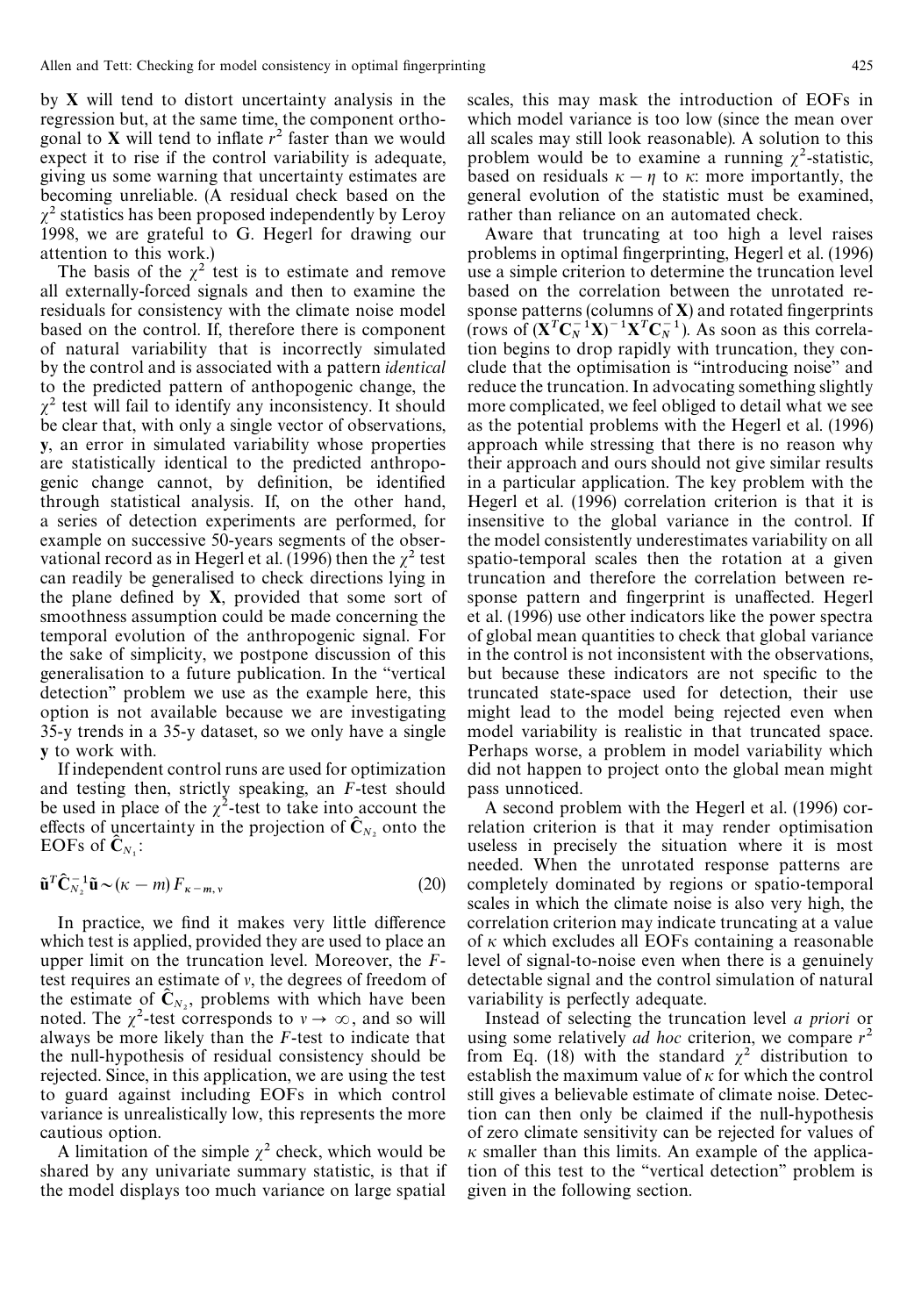by X will tend to distort uncertainty analysis in the regression but, at the same time, the component orthogonal to **X** will tend to inflate  $r^2$  faster than we would expect it to rise if the control variability is adequate, giving us some warning that uncertainty estimates are becoming unreliable. (A residual check based on the  $\chi^2$  statistics has been proposed independently by Leroy 1998, we are grateful to G. Hegerl for drawing our attention to this work.)

The basis of the  $\chi^2$  test is to estimate and remove all externally-forced signals and then to examine the residuals for consistency with the climate noise model based on the control. If, therefore there is component of natural variability that is incorrectly simulated by the control and is associated with a pattern *identical* to the predicted pattern of anthopogenic change, the  $\chi^2$  test will fail to identify any inconsistency. It should be clear that, with only a single vector of observations, y, an error in simulated variability whose properties are statistically identical to the predicted anthropogenic change cannot, by definition, be identified through statistical analysis. If, on the other hand, a series of detection experiments are performed, for example on successive 50-years segments of the observational record as in Hegerl et al. (1996) then the  $\chi^2$  test can readily be generalised to check directions lying in the plane defined by  $X$ , provided that some sort of smoothness assumption could be made concerning the temporal evolution of the anthropogenic signal. For the sake of simplicity, we postpone discussion of this generalisation to a future publication. In the "vertical detection'' problem we use as the example here, this option is not available because we are investigating 35-y trends in a 35-y dataset, so we only have a single y to work with.

If independent control runs are used for optimization and testing then, strictly speaking, an *F*-test should be used in place of the  $\chi^2$ -test to take into account the effects of uncertainty in the projection of  $\hat{\mathbf{C}}_N$ , onto the EOFs of  $\hat{\mathbf{C}}_{N_1}$ :

$$
\tilde{\mathbf{u}}^T \hat{\mathbf{C}}_{N_2}^{-1} \tilde{\mathbf{u}} \sim (\kappa - m) F_{\kappa - m, \nu} \tag{20}
$$

In practice, we find it makes very little difference which test is applied, provided they are used to place an upper limit on the truncation level. Moreover, the *F*test requires an estimate of  $v$ , the degrees of freedom of the estimate of  $C_{N_2}$ , problems with which have been noted. The  $\chi^2$ -test corresponds to  $v \to \infty$ , and so will always be more likely than the *F*-test to indicate that the null-hypothesis of residual consistency should be rejected. Since, in this application, we are using the test to guard against including EOFs in which control variance is unrealistically low, this represents the more cautious option.

A limitation of the simple  $\chi^2$  check, which would be shared by any univariate summary statistic, is that if the model displays too much variance on large spatial scales, this may mask the introduction of EOFs in which model variance is too low (since the mean over all scales may still look reasonable). A solution to this problem would be to examine a running  $\chi^2$ -statistic, based on residuals  $\kappa - \eta$  to  $\kappa$ : more importantly, the general evolution of the statistic must be examined, rather than reliance on an automated check.

Aware that truncating at too high a level raises problems in optimal fingerprinting, Hegerl et al. (1996) use a simple criterion to determine the truncation level based on the correlation between the unrotated response patterns (columns of  $X$ ) and rotated fingerprints (rows of  $(\mathbf{X}^T \mathbf{C}_N^{-1} \mathbf{X})^{-1} \mathbf{X}^T \mathbf{C}_N^{-1}$ ). As soon as this correlation begins to drop rapidly with truncation, they conclude that the optimisation is "introducing noise" and reduce the truncation. In advocating something slightly more complicated, we feel obliged to detail what we see as the potential problems with the Hegerl et al. (1996) approach while stressing that there is no reason why their approach and ours should not give similar results in a particular application. The key problem with the Hegerl et al. (1996) correlation criterion is that it is insensitive to the global variance in the control. If the model consistently underestimates variability on all spatio-temporal scales then the rotation at a given truncation and therefore the correlation between response pattern and fingerprint is unaffected. Hegerl et al. (1996) use other indicators like the power spectra of global mean quantities to check that global variance in the control is not inconsistent with the observations, but because these indicators are not specific to the truncated state-space used for detection, their use might lead to the model being rejected even when model variability is realistic in that truncated space. Perhaps worse, a problem in model variability which did not happen to project onto the global mean might pass unnoticed.

A second problem with the Hegerl et al. (1996) correlation criterion is that it may render optimisation useless in precisely the situation where it is most needed. When the unrotated response patterns are completely dominated by regions or spatio-temporal scales in which the climate noise is also very high, the correlation criterion may indicate truncating at a value of  $\kappa$  which excludes all EOFs containing a reasonable level of signal-to-noise even when there is a genuinely detectable signal and the control simulation of natural variability is perfectly adequate.

Instead of selecting the truncation level *a priori* or using some relatively *ad hoc* criterion, we compare  $r^2$ from Eq. (18) with the standard  $\chi^2$  distribution to establish the maximum value of  $\kappa$  for which the control still gives a believable estimate of climate noise. Detection can then only be claimed if the null-hypothesis of zero climate sensitivity can be rejected for values of  $\kappa$  smaller than this limits. An example of the application of this test to the "vertical detection" problem is given in the following section.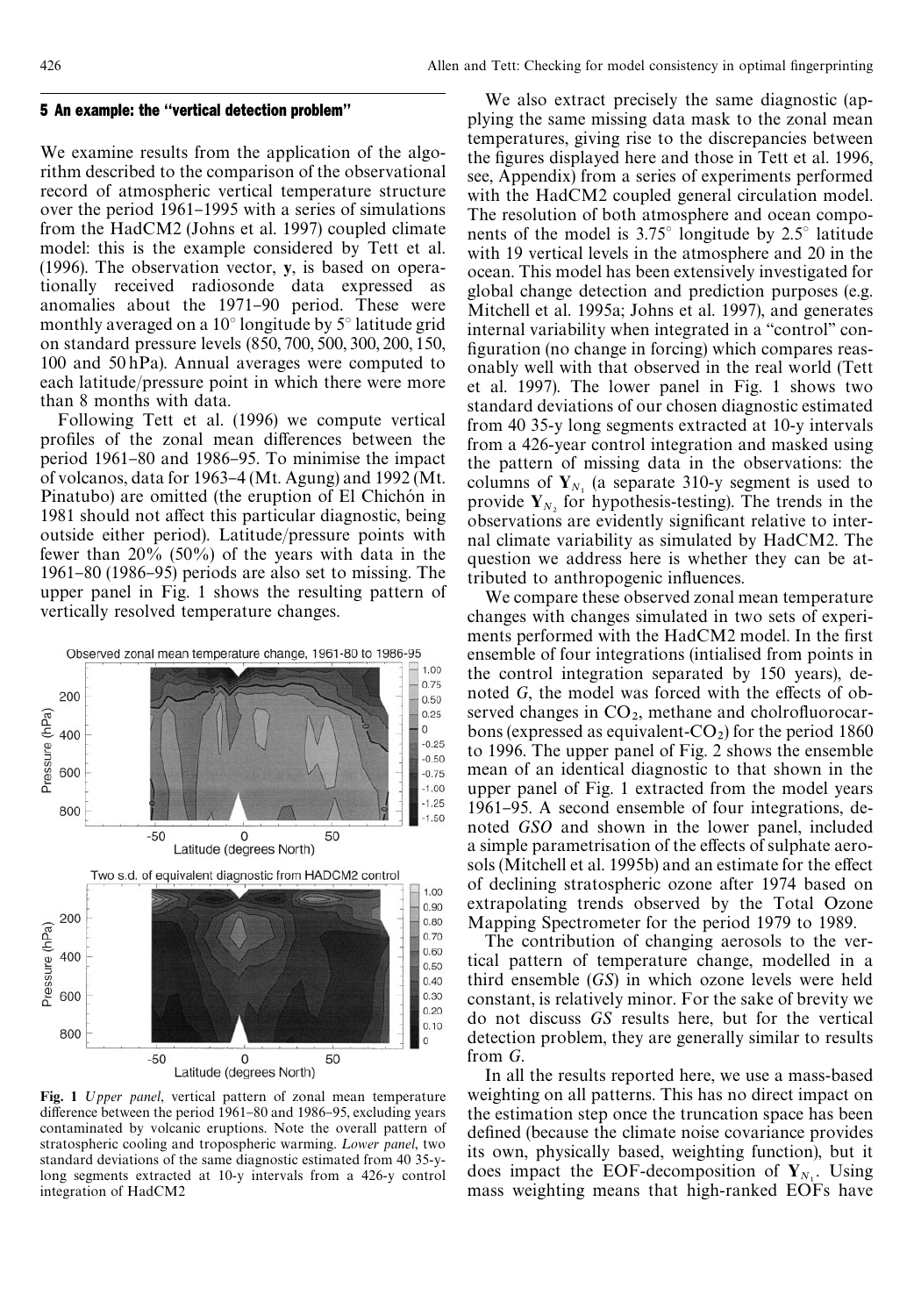#### 5 An example: the ''vertical detection problem''

We examine results from the application of the algorithm described to the comparison of the observational record of atmospheric vertical temperature structure over the period 1961–1995 with a series of simulations from the HadCM2 (Johns et al. 1997) coupled climate model: this is the example considered by Tett et al. (1996). The observation vector, y, is based on operationally received radiosonde data expressed as anomalies about the 1971–90 period. These were monthly averaged on a  $10^{\circ}$  longitude by  $5^{\circ}$  latitude grid on standard pressure levels (850, 700, 500, 300, 200, 150, 100 and 50 hPa). Annual averages were computed to each latitude/pressure point in which there were more than 8 months with data.

Following Tett et al. (1996) we compute vertical profiles of the zonal mean differences between the period 1961–80 and 1986–95. To minimise the impact of volcanos, data for 1963–4 (Mt. Agung) and 1992 (Mt. Pinatubo) are omitted (the eruption of El Chichón in 1981 should not affect this particular diagnostic, being outside either period). Latitude/pressure points with fewer than 20% (50%) of the years with data in the  $1961-80$  (1986–95) periods are also set to missing. The upper panel in Fig. 1 shows the resulting pattern of vertically resolved temperature changes.



Fig. 1 *Upper panel*, vertical pattern of zonal mean temperature difference between the period  $1961-80$  and  $1986-95$ , excluding years contaminated by volcanic eruptions. Note the overall pattern of stratospheric cooling and tropospheric warming. *Lower panel*, two standard deviations of the same diagnostic estimated from 40 35-ylong segments extracted at 10-y intervals from a 426-y control integration of HadCM2

We also extract precisely the same diagnostic (applying the same missing data mask to the zonal mean temperatures, giving rise to the discrepancies between the figures displayed here and those in Tett et al. 1996, see, Appendix) from a series of experiments performed with the HadCM2 coupled general circulation model. The resolution of both atmosphere and ocean components of the model is  $3.75^{\circ}$  longitude by  $2.5^{\circ}$  latitude with 19 vertical levels in the atmosphere and 20 in the ocean. This model has been extensively investigated for global change detection and prediction purposes (e.g. Mitchell et al. 1995a; Johns et al. 1997), and generates internal variability when integrated in a "control" configuration (no change in forcing) which compares reasonably well with that observed in the real world (Tett et al. 1997). The lower panel in Fig. 1 shows two standard deviations of our chosen diagnostic estimated from 40 35-y long segments extracted at 10-y intervals from a 426-year control integration and masked using the pattern of missing data in the observations: the columns of  $Y_{N_1}$  (a separate 310-y segment is used to provide  $Y_N$ , for hypothesis-testing). The trends in the observations are evidently significant relative to internal climate variability as simulated by HadCM2. The question we address here is whether they can be attributed to anthropogenic influences.

We compare these observed zonal mean temperature changes with changes simulated in two sets of experiments performed with the HadCM2 model. In the first ensemble of four integrations (intialised from points in the control integration separated by 150 years), denoted *G*, the model was forced with the effects of observed changes in  $CO_2$ , methane and cholrofluorocarbons (expressed as equivalent- $CO<sub>2</sub>$ ) for the period 1860 to 1996. The upper panel of Fig. 2 shows the ensemble mean of an identical diagnostic to that shown in the upper panel of Fig. 1 extracted from the model years 1961–95. A second ensemble of four integrations, denoted *GSO* and shown in the lower panel, included a simple parametrisation of the effects of sulphate aerosols (Mitchell et al. 1995b) and an estimate for the effect of declining stratospheric ozone after 1974 based on extrapolating trends observed by the Total Ozone Mapping Spectrometer for the period 1979 to 1989.

The contribution of changing aerosols to the vertical pattern of temperature change, modelled in a third ensemble (*GS*) in which ozone levels were held constant, is relatively minor. For the sake of brevity we do not discuss *GS* results here, but for the vertical detection problem, they are generally similar to results from *G*.

In all the results reported here, we use a mass-based weighting on all patterns. This has no direct impact on the estimation step once the truncation space has been defined (because the climate noise covariance provides its own, physically based, weighting function), but it does impact the EOF-decomposition of  $Y_{N_1}$ . Using mass weighting means that high-ranked EOFs have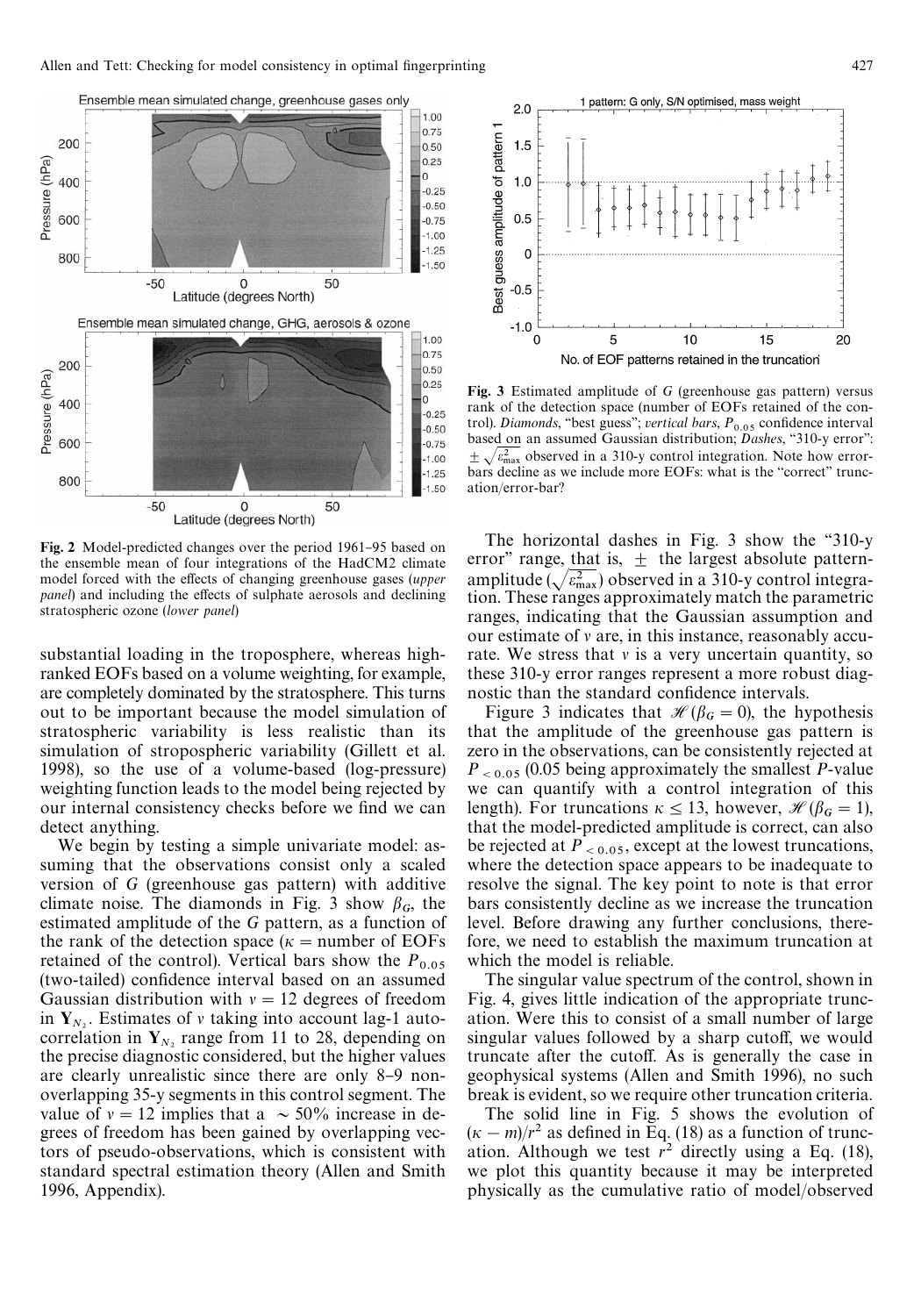

Fig. 2 Model-predicted changes over the period 1961-95 based on the ensemble mean of four integrations of the HadCM2 climate model forced with the effects of changing greenhouse gases (*upper panel*) and including the effects of sulphate aerosols and declining stratospheric ozone (*lower panel*)

substantial loading in the troposphere, whereas highranked EOFs based on a volume weighting, for example, are completely dominated by the stratosphere. This turns out to be important because the model simulation of stratospheric variability is less realistic than its simulation of stropospheric variability (Gillett et al. 1998), so the use of a volume-based (log-pressure) weighting function leads to the model being rejected by our internal consistency checks before we find we can detect anything.

We begin by testing a simple univariate model: assuming that the observations consist only a scaled version of *G* (greenhouse gas pattern) with additive climate noise. The diamonds in Fig. 3 show  $\beta_G$ , the estimated amplitude of the *G* pattern, as a function of the rank of the detection space ( $\kappa$  = number of EOFs retained of the control). Vertical bars show the  $P_{0.05}$ (two-tailed) confidence interval based on an assumed Gaussian distribution with  $v = 12$  degrees of freedom in  $Y_{N_2}$ . Estimates of v taking into account lag-1 autocorrelation in  $Y_N$ , range from 11 to 28, depending on the precise diagnostic considered, but the higher values are clearly unrealistic since there are only 8–9 nonoverlapping 35-y segments in this control segment. The value of  $v = 12$  implies that a  $\sim 50\%$  increase in degrees of freedom has been gained by overlapping vectors of pseudo-observations, which is consistent with standard spectral estimation theory (Allen and Smith 1996, Appendix).



Fig. 3 Estimated amplitude of *G* (greenhouse gas pattern) versus rank of the detection space (number of EOFs retained of the control). *Diamonds*, "best guess"; *vertical bars*,  $P_{0.05}$  confidence interval based on an assumed Gaussian distribution; *Dashes*, "310-y error":  $\pm \sqrt{\varepsilon_{\text{max}}^2}$  observed in a 310-y control integration. Note how errorbars decline as we include more EOFs: what is the "correct" truncation/error-bar?

The horizontal dashes in Fig. 3 show the "310-y" error" range, that is,  $\pm$  the largest absolute patternamplitude ( $\sqrt{\epsilon_{\text{max}}}$ ) observed in a 310-y control integration. These ranges approximately match the parametric ranges, indicating that the Gaussian assumption and our estimate of  $\nu$  are, in this instance, reasonably accurate. We stress that  $\nu$  is a very uncertain quantity, so these 310-y error ranges represent a more robust diagnostic than the standard confidence intervals.

Figure 3 indicates that  $\mathcal{H}(\beta_G = 0)$ , the hypothesis that the amplitude of the greenhouse gas pattern is zero in the observations, can be consistently rejected at  $P_{\leq 0.05}$  (0.05 being approximately the smallest *P*-value we can quantify with a control integration of this length). For truncations  $\kappa \le 13$ , however,  $\mathcal{H}(\beta_G = 1)$ , that the model-predicted amplitude is correct, can also be rejected at  $P_{< 0.05}$ , except at the lowest truncations, where the detection space appears to be inadequate to resolve the signal. The key point to note is that error bars consistently decline as we increase the truncation level. Before drawing any further conclusions, therefore, we need to establish the maximum truncation at which the model is reliable.

The singular value spectrum of the control, shown in Fig. 4, gives little indication of the appropriate truncation. Were this to consist of a small number of large singular values followed by a sharp cutoff, we would truncate after the cutoff. As is generally the case in geophysical systems (Allen and Smith 1996), no such break is evident, so we require other truncation criteria.

The solid line in Fig. 5 shows the evolution of  $(\kappa - m)/r^2$  as defined in Eq. (18) as a function of truncation. Although we test  $r^2$  directly using a Eq. (18), we plot this quantity because it may be interpreted physically as the cumulative ratio of model/observed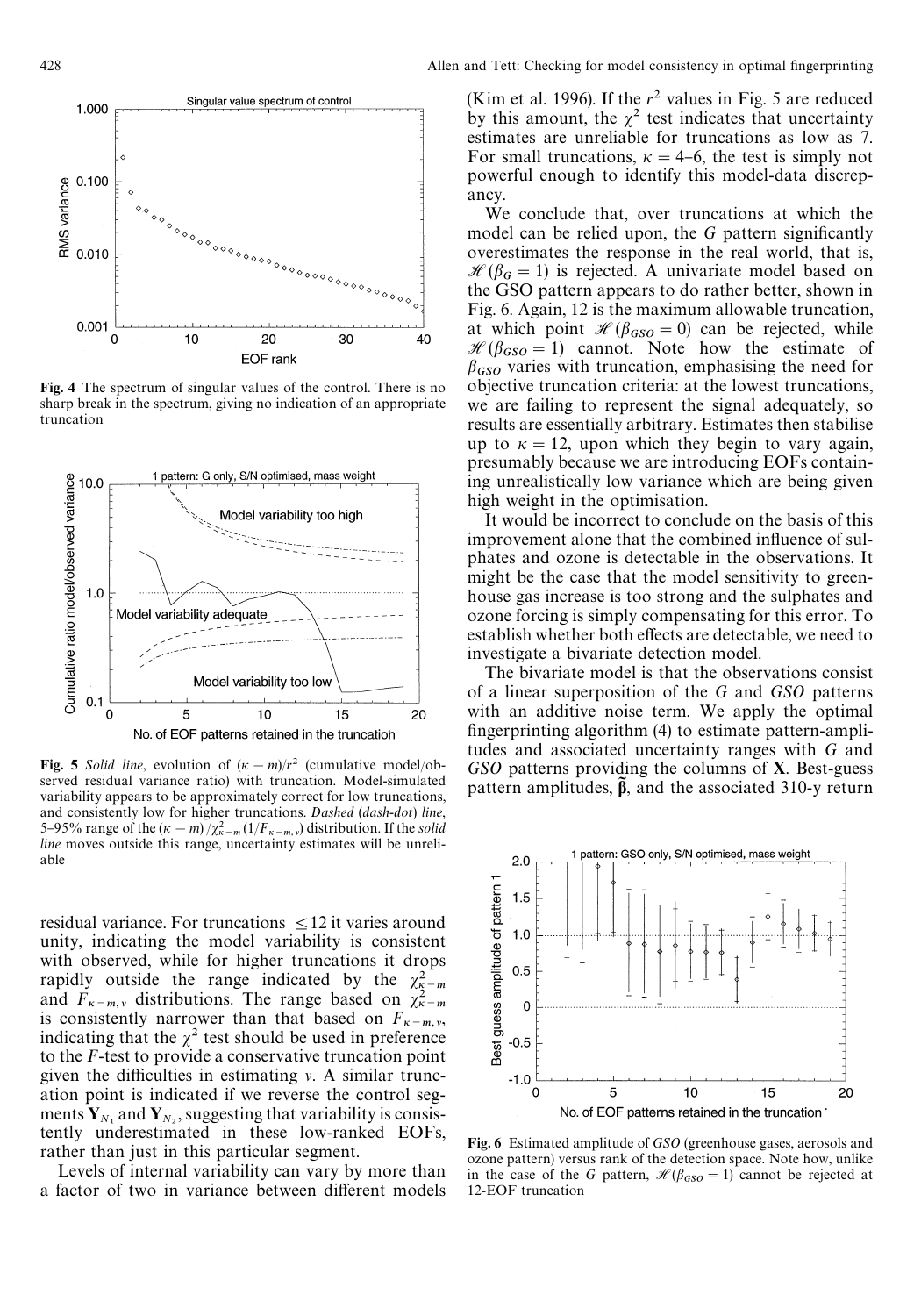

Fig. 4 The spectrum of singular values of the control. There is no sharp break in the spectrum, giving no indication of an appropriate truncation



Fig. 5 *Solid line*, evolution of  $(\kappa - m)/r^2$  (cumulative model/observed residual variance ratio) with truncation. Model-simulated variability appears to be approximately correct for low truncations, and consistently low for higher truncations. *Dashed* (*dash*-*dot*) *line*, 5–95% range of the  $(\kappa - m)/\chi^2_{\kappa-m} (1/F_{\kappa-m,\nu})$  distribution. If the *solid* line moves outside this range, uncertainty estimates will be unreli*line* moves outside this range, uncertainty estimates will be unreliable

residual variance. For truncations  $\leq 12$  it varies around unity, indicating the model variability is consistent with observed, while for higher truncations it drops rapidly outside the range indicated by the  $\chi^2_{\frac{R}{2}-m}$ and  $F_{\kappa-m,\nu}$  distributions. The range based on  $\chi^2_{\kappa-m}$ and  $F_{\kappa-m, \nu}$  distributions. The range based on  $\chi_{\kappa-m, \nu}^2$  is consistently narrower than that based on  $F_{\kappa-m, \nu}$ , indicating that the  $\chi^2$  test should be used in preference to the *F*-test to provide a conservative truncation point given the difficulties in estimating  $\nu$ . A similar truncation point is indicated if we reverse the control segments  $Y_{N_1}$  and  $Y_{N_2}$ , suggesting that variability is consistently underestimated in these low-ranked EOFs, rather than just in this particular segment.

Levels of internal variability can vary by more than a factor of two in variance between different models (Kim et al. 1996). If the  $r^2$  values in Fig. 5 are reduced by this amount, the  $\chi^2$  test indicates that uncertainty estimates are unreliable for truncations as low as 7. For small truncations,  $\kappa = 4-6$ , the test is simply not powerful enough to identify this model-data discrepancy.

We conclude that, over truncations at which the model can be relied upon, the G pattern significantly overestimates the response in the real world, that is,  $\mathcal{H}(\beta_G = 1)$  is rejected. A univariate model based on the GSO pattern appears to do rather better, shown in Fig. 6. Again, 12 is the maximum allowable truncation, at which point  $\mathcal{H}(\beta_{GSO} = 0)$  can be rejected, while  $\mathcal{H}(\beta_{GSO} = 1)$  cannot. Note how the estimate of  $\beta_{GSO}$  varies with truncation, emphasising the need for objective truncation criteria: at the lowest truncations, we are failing to represent the signal adequately, so results are essentially arbitrary. Estimates then stabilise up to  $\kappa = 12$ , upon which they begin to vary again, presumably because we are introducing EOFs containing unrealistically low variance which are being given high weight in the optimisation.

It would be incorrect to conclude on the basis of this improvement alone that the combined influence of sulphates and ozone is detectable in the observations. It might be the case that the model sensitivity to greenhouse gas increase is too strong and the sulphates and ozone forcing is simply compensating for this error. To establish whether both effects are detectable, we need to investigate a bivariate detection model.

The bivariate model is that the observations consist of a linear superposition of the *G* and *GSO* patterns with an additive noise term. We apply the optimal  $f{\text{m}}$  ingerprinting algorithm (4) to estimate pattern-amplitudes and associated uncertainty ranges with *G* and *GSO* patterns providing the columns of X. Best-guess pattern amplitudes,  $\beta$ , and the associated 310-y return



Fig. 6 Estimated amplitude of *GSO* (greenhouse gases, aerosols and ozone pattern) versus rank of the detection space. Note how, unlike in the case of the *G* pattern,  $\mathcal{H}(\beta_{GSO} = 1)$  cannot be rejected at 12-EOF truncation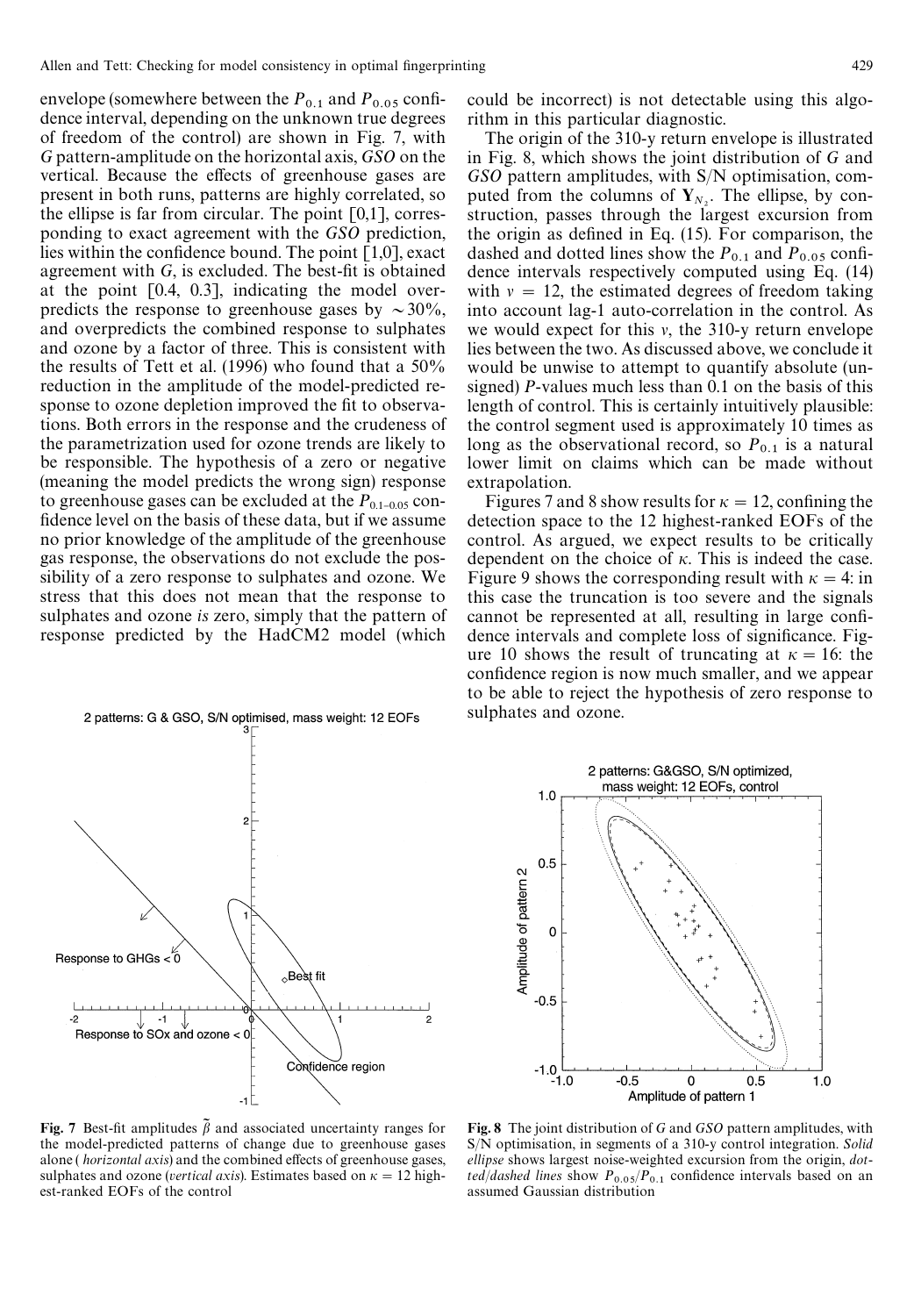envelope (somewhere between the  $P_{0,1}$  and  $P_{0,05}$  confidence interval, depending on the unknown true degrees of freedom of the control) are shown in Fig. 7, with *G* pattern-amplitude on the horizontal axis, *GSO* on the vertical. Because the effects of greenhouse gases are present in both runs, patterns are highly correlated, so the ellipse is far from circular. The point [0,1], corresponding to exact agreement with the *GSO* prediction, lies within the confidence bound. The point  $[1,0]$ , exact agreement with  $G$ , is excluded. The best-fit is obtained at the point [0.4, 0.3], indicating the model overpredicts the response to greenhouse gases by  $\sim 30\%$ , and overpredicts the combined response to sulphates and ozone by a factor of three. This is consistent with the results of Tett et al. (1996) who found that a 50% reduction in the amplitude of the model-predicted response to ozone depletion improved the fit to observations. Both errors in the response and the crudeness of the parametrization used for ozone trends are likely to be responsible. The hypothesis of a zero or negative (meaning the model predicts the wrong sign) response to greenhouse gases can be excluded at the  $P_{0.1-0.05}$  confidence level on the basis of these data, but if we assume no prior knowledge of the amplitude of the greenhouse gas response, the observations do not exclude the possibility of a zero response to sulphates and ozone. We stress that this does not mean that the response to sulphates and ozone *is* zero, simply that the pattern of response predicted by the HadCM2 model (which



could be incorrect) is not detectable using this algorithm in this particular diagnostic.

The origin of the 310-y return envelope is illustrated in Fig. 8, which shows the joint distribution of *G* and *GSO* pattern amplitudes, with S/N optimisation, computed from the columns of  $Y_{N_2}$ . The ellipse, by construction, passes through the largest excursion from the origin as defined in Eq.  $(15)$ . For comparison, the dashed and dotted lines show the  $P_{0.1}$  and  $P_{0.05}$  confidence intervals respectively computed using Eq. (14) with  $v = 12$ , the estimated degrees of freedom taking into account lag-1 auto-correlation in the control. As we would expect for this  $v$ , the 310-y return envelope lies between the two. As discussed above, we conclude it would be unwise to attempt to quantify absolute (unsigned) *P*-values much less than 0.1 on the basis of this length of control. This is certainly intuitively plausible: the control segment used is approximately 10 times as long as the observational record, so  $P_{0,1}$  is a natural lower limit on claims which can be made without extrapolation.

Figures 7 and 8 show results for  $\kappa = 12$ , confining the detection space to the 12 highest-ranked EOFs of the control. As argued, we expect results to be critically dependent on the choice of  $\kappa$ . This is indeed the case. Figure 9 shows the corresponding result with  $\kappa = 4$ : in this case the truncation is too severe and the signals cannot be represented at all, resulting in large confidence intervals and complete loss of significance. Figure 10 shows the result of truncating at  $\kappa = 16$ : the confidence region is now much smaller, and we appear to be able to reject the hypothesis of zero response to sulphates and ozone.



Fig. 7 Best-fit amplitudes  $\tilde{\beta}$  and associated uncertainty ranges for the model-predicted patterns of change due to greenhouse gases alone (*horizontal axis*) and the combined effects of greenhouse gases, sulphates and ozone (*vertical axis*). Estimates based on  $\kappa = 12$  highest-ranked EOFs of the control

Fig. 8 The joint distribution of *G* and *GSO* pattern amplitudes, with S/N optimisation, in segments of a 310-y control integration. *Solid ellipse* shows largest noise-weighted excursion from the origin, *dotted*/*dashed lines* show  $P_{0.05}/P_{0.1}$  confidence intervals based on an assumed Gaussian distribution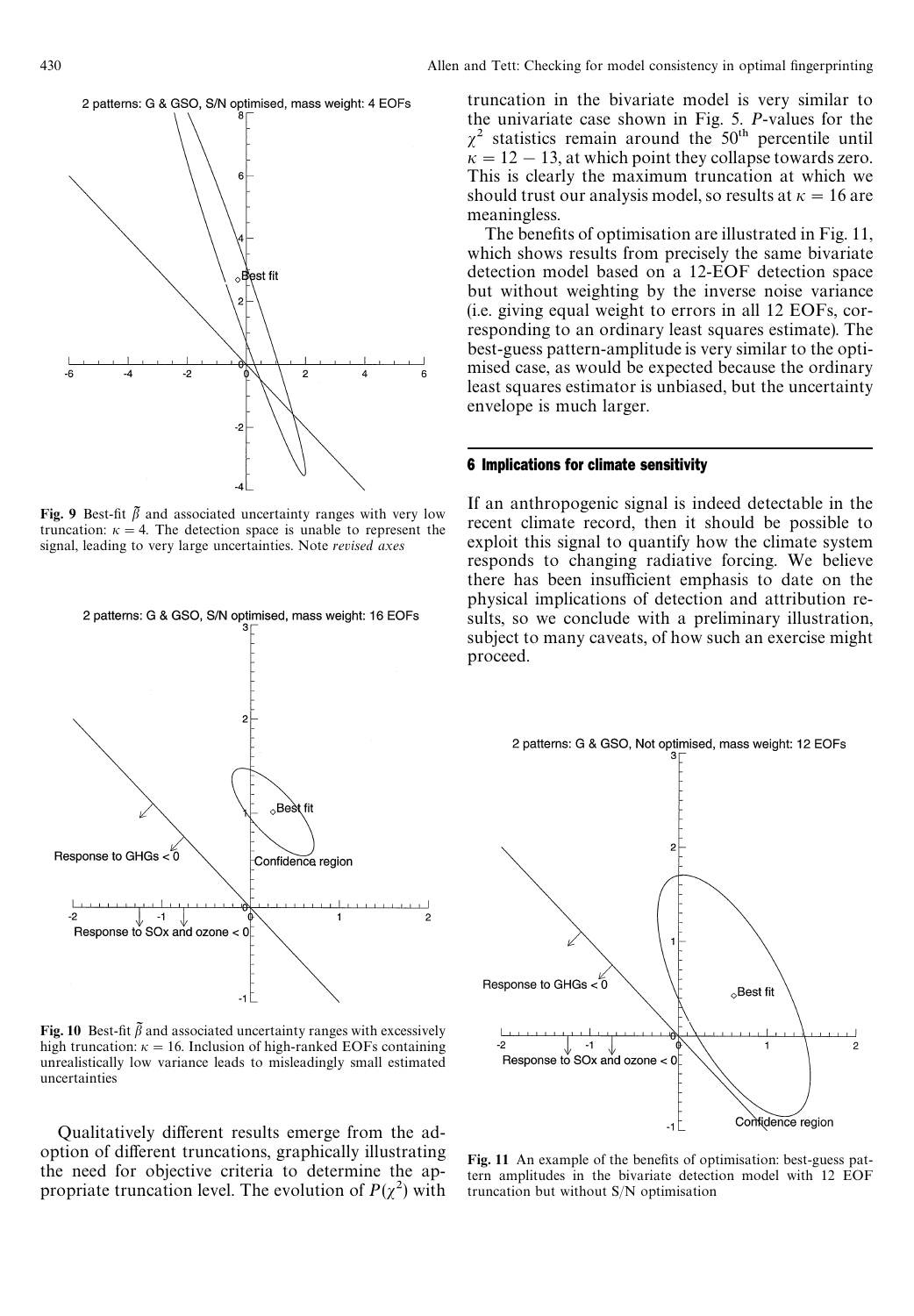

Fig. 9 Best-fit  $\tilde{\beta}$  and associated uncertainty ranges with very low truncation:  $\kappa = 4$ . The detection space is unable to represent the signal, leading to very large uncertainties. Note *revised axes*



Fig. 10 Best-fit  $\tilde{\beta}$  and associated uncertainty ranges with excessively high truncation:  $\kappa = 16$ . Inclusion of high-ranked EOFs containing unrealistically low variance leads to misleadingly small estimated uncertainties

Qualitatively different results emerge from the adoption of different truncations, graphically illustrating the need for objective criteria to determine the appropriate truncation level. The evolution of  $P(\chi^2)$  with

truncation in the bivariate model is very similar to the univariate case shown in Fig. 5. *P*-values for the  $\chi^2$  statistics remain around the 50<sup>th</sup> percentile until  $\kappa = 12 - 13$ , at which point they collapse towards zero. This is clearly the maximum truncation at which we should trust our analysis model, so results at  $\kappa = 16$  are meaningless.

The benefits of optimisation are illustrated in Fig. 11, which shows results from precisely the same bivariate detection model based on a 12-EOF detection space but without weighting by the inverse noise variance (i.e. giving equal weight to errors in all 12 EOFs, corresponding to an ordinary least squares estimate). The best-guess pattern-amplitude is very similar to the optimised case, as would be expected because the ordinary least squares estimator is unbiased, but the uncertainty envelope is much larger.

## 6 Implications for climate sensitivity

If an anthropogenic signal is indeed detectable in the recent climate record, then it should be possible to exploit this signal to quantify how the climate system responds to changing radiative forcing. We believe there has been insufficient emphasis to date on the physical implications of detection and attribution results, so we conclude with a preliminary illustration, subject to many caveats, of how such an exercise might proceed.



Fig. 11 An example of the benefits of optimisation: best-guess pattern amplitudes in the bivariate detection model with 12 EOF truncation but without S/N optimisation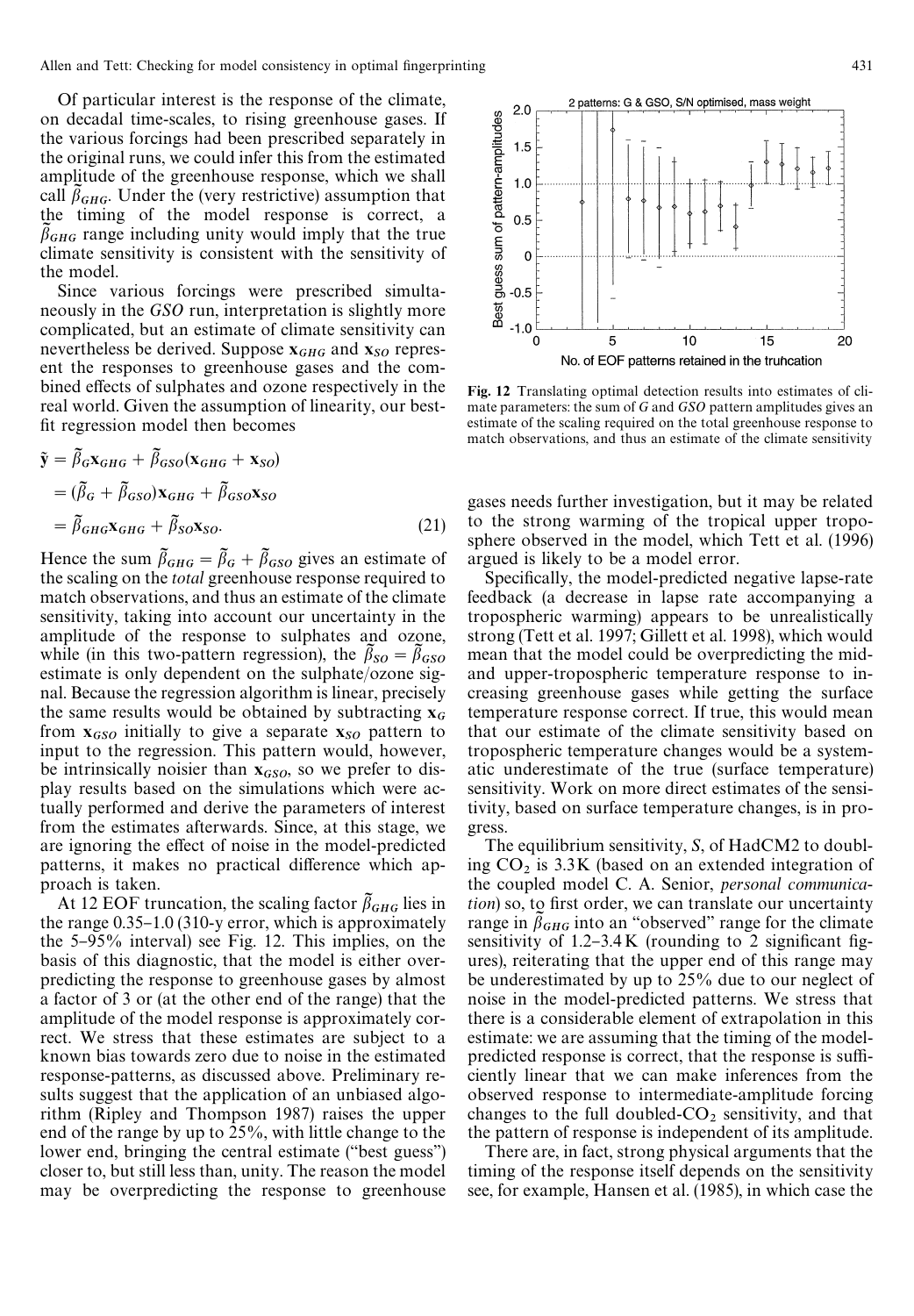Allen and Tett: Checking for model consistency in optimal fingerprinting 431

Of particular interest is the response of the climate, on decadal time-scales, to rising greenhouse gases. If the various forcings had been prescribed separately in the original runs, we could infer this from the estimated amplitude of the greenhouse response, which we shall call  $\beta_{GHG}$ . Under the (very restrictive) assumption that the timing of the model response is correct, a  $\beta_{GHG}$  range including unity would imply that the true climate sensitivity is consistent with the sensitivity of the model.

Since various forcings were prescribed simultaneously in the *GSO* run, interpretation is slightly more complicated, but an estimate of climate sensitivity can nevertheless be derived. Suppose  $x_{GHG}$  and  $x_{SO}$  represent the responses to greenhouse gases and the combined effects of sulphates and ozone respectively in the real world. Given the assumption of linearity, our best fit regression model then becomes

$$
\tilde{\mathbf{y}} = \tilde{\beta}_{G}\mathbf{x}_{GHG} + \tilde{\beta}_{GSO}(\mathbf{x}_{GHG} + \mathbf{x}_{SO})
$$
  
=  $(\tilde{\beta}_{G} + \tilde{\beta}_{GSO})\mathbf{x}_{GHG} + \tilde{\beta}_{GSO}\mathbf{x}_{SO}$   
=  $\tilde{\beta}_{GHG}\mathbf{x}_{GHG} + \tilde{\beta}_{SO}\mathbf{x}_{SO}.$  (21)

Hence the sum  $\tilde{\beta}_{GHG} = \tilde{\beta}_G + \tilde{\beta}_{GSO}$  gives an estimate of the scaling on the *total* greenhouse response required to match observations, and thus an estimate of the climate sensitivity, taking into account our uncertainty in the amplitude of the response to sulphates and ozone, while (in this two-pattern regression), the  $\tilde{\beta}_{SO} = \tilde{\beta}_{GSO}$  estimate is only dependent on the sulphate/ozone signal. Because the regression algorithm is linear, precisely the same results would be obtained by subtracting  $x_G$ from  $\mathbf{x}_{GSO}$  initially to give a separate  $\mathbf{x}_{SO}$  pattern to input to the regression. This pattern would, however, be intrinsically noisier than  $x_{GSO}$ , so we prefer to display results based on the simulations which were actually performed and derive the parameters of interest from the estimates afterwards. Since, at this stage, we are ignoring the effect of noise in the model-predicted patterns, it makes no practical difference which approach is taken.

At 12 EOF truncation, the scaling factor  $\beta_{GHG}$  lies in the range  $0.35-1.0$  (310-y error, which is approximately the  $5-95\%$  interval) see Fig. 12. This implies, on the basis of this diagnostic, that the model is either overpredicting the response to greenhouse gases by almost a factor of 3 or (at the other end of the range) that the amplitude of the model response is approximately correct. We stress that these estimates are subject to a known bias towards zero due to noise in the estimated response-patterns, as discussed above. Preliminary results suggest that the application of an unbiased algorithm (Ripley and Thompson 1987) raises the upper end of the range by up to 25%, with little change to the lower end, bringing the central estimate ("best guess") closer to, but still less than, unity. The reason the model may be overpredicting the response to greenhouse



Fig. 12 Translating optimal detection results into estimates of climate parameters: the sum of *G* and *GSO* pattern amplitudes gives an estimate of the scaling required on the total greenhouse response to match observations, and thus an estimate of the climate sensitivity

gases needs further investigation, but it may be related to the strong warming of the tropical upper troposphere observed in the model, which Tett et al. (1996) argued is likely to be a model error.

Specifically, the model-predicted negative lapse-rate feedback (a decrease in lapse rate accompanying a tropospheric warming) appears to be unrealistically strong (Tett et al. 1997; Gillett et al. 1998), which would mean that the model could be overpredicting the midand upper-tropospheric temperature response to increasing greenhouse gases while getting the surface temperature response correct. If true, this would mean that our estimate of the climate sensitivity based on tropospheric temperature changes would be a systematic underestimate of the true (surface temperature) sensitivity. Work on more direct estimates of the sensitivity, based on surface temperature changes, is in progress.

The equilibrium sensitivity, *S*, of HadCM2 to doubling  $CO<sub>2</sub>$  is 3.3K (based on an extended integration of the coupled model C. A. Senior, *personal communication*) so, to first order, we can translate our uncertainty range in  $\beta_{GHG}$  into an "observed" range for the climate sensitivity of  $1.2 - 3.4$  K (rounding to 2 significant figures), reiterating that the upper end of this range may be underestimated by up to 25% due to our neglect of noise in the model-predicted patterns. We stress that there is a considerable element of extrapolation in this estimate: we are assuming that the timing of the modelpredicted response is correct, that the response is sufficiently linear that we can make inferences from the observed response to intermediate-amplitude forcing changes to the full doubled- $CO<sub>2</sub>$  sensitivity, and that the pattern of response is independent of its amplitude.

There are, in fact, strong physical arguments that the timing of the response itself depends on the sensitivity see, for example, Hansen et al. (1985), in which case the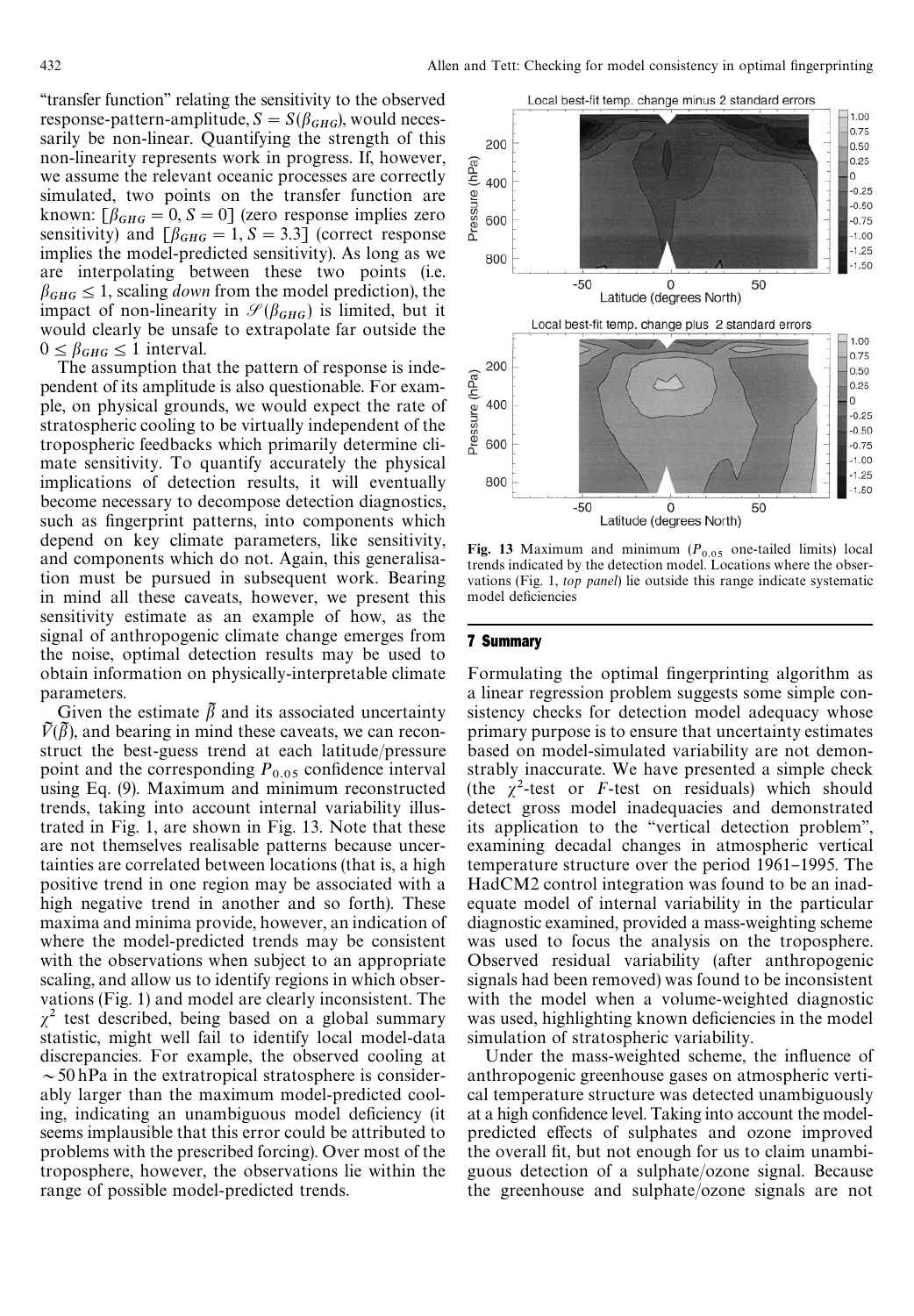"transfer function" relating the sensitivity to the observed response-pattern-amplitude,  $S = S(\beta_{GHG})$ , would necessarily be non-linear. Quantifying the strength of this non-linearity represents work in progress. If, however, we assume the relevant oceanic processes are correctly simulated, two points on the transfer function are known:  $[\beta_{GHG} = 0, S = 0]$  (zero response implies zero sensitivity) and  $\left[\beta_{GHG} = 1, S = 3.3\right]$  (correct response implies the model-predicted sensitivity). As long as we are interpolating between these two points (i.e.  $\beta_{GHG} \leq 1$ , scaling *down* from the model prediction), the impact of non-linearity in  $\mathcal{S}(\beta_{GHG})$  is limited, but it would clearly be unsafe to extrapolate far outside the  $0 \leq \beta_{GHG} \leq 1$  interval.

The assumption that the pattern of response is independent of its amplitude is also questionable. For example, on physical grounds, we would expect the rate of stratospheric cooling to be virtually independent of the tropospheric feedbacks which primarily determine climate sensitivity. To quantify accurately the physical implications of detection results, it will eventually become necessary to decompose detection diagnostics, such as fingerprint patterns, into components which depend on key climate parameters, like sensitivity, and components which do not. Again, this generalisation must be pursued in subsequent work. Bearing in mind all these caveats, however, we present this sensitivity estimate as an example of how, as the signal of anthropogenic climate change emerges from the noise, optimal detection results may be used to obtain information on physically-interpretable climate parameters.

Given the estimate  $\bar{\beta}$  and its associated uncertainty  $V(\beta)$ , and bearing in mind these caveats, we can reconstruct the best-guess trend at each latitude/pressure point and the corresponding  $P_{0.05}$  confidence interval using Eq. (9). Maximum and minimum reconstructed trends, taking into account internal variability illustrated in Fig. 1, are shown in Fig. 13. Note that these are not themselves realisable patterns because uncertainties are correlated between locations (that is, a high positive trend in one region may be associated with a high negative trend in another and so forth). These maxima and minima provide, however, an indication of where the model-predicted trends may be consistent with the observations when subject to an appropriate scaling, and allow us to identify regions in which observations (Fig. 1) and model are clearly inconsistent. The  $\chi^2$  test described, being based on a global summary statistic, might well fail to identify local model-data discrepancies. For example, the observed cooling at  $\sim$  50 hPa in the extratropical stratosphere is considerably larger than the maximum model-predicted cooling, indicating an unambiguous model deficiency (it seems implausible that this error could be attributed to problems with the prescribed forcing). Over most of the troposphere, however, the observations lie within the range of possible model-predicted trends.



Fig. 13 Maximum and minimum  $(P_{0.05}$  one-tailed limits) local trends indicated by the detection model. Locations where the observations (Fig. 1, *top panel*) lie outside this range indicate systematic model deficiencies

## 7 Summary

Formulating the optimal fingerprinting algorithm as a linear regression problem suggests some simple consistency checks for detection model adequacy whose primary purpose is to ensure that uncertainty estimates based on model-simulated variability are not demonstrably inaccurate. We have presented a simple check (the  $\chi^2$ -test or *F*-test on residuals) which should detect gross model inadequacies and demonstrated its application to the "vertical detection problem", examining decadal changes in atmospheric vertical temperature structure over the period 1961–1995. The HadCM2 control integration was found to be an inadequate model of internal variability in the particular diagnostic examined, provided a mass-weighting scheme was used to focus the analysis on the troposphere. Observed residual variability (after anthropogenic signals had been removed) was found to be inconsistent with the model when a volume-weighted diagnostic was used, highlighting known deficiencies in the model simulation of stratospheric variability.

Under the mass-weighted scheme, the influence of anthropogenic greenhouse gases on atmospheric vertical temperature structure was detected unambiguously at a high confidence level. Taking into account the modelpredicted effects of sulphates and ozone improved the overall fit, but not enough for us to claim unambiguous detection of a sulphate/ozone signal. Because the greenhouse and sulphate/ozone signals are not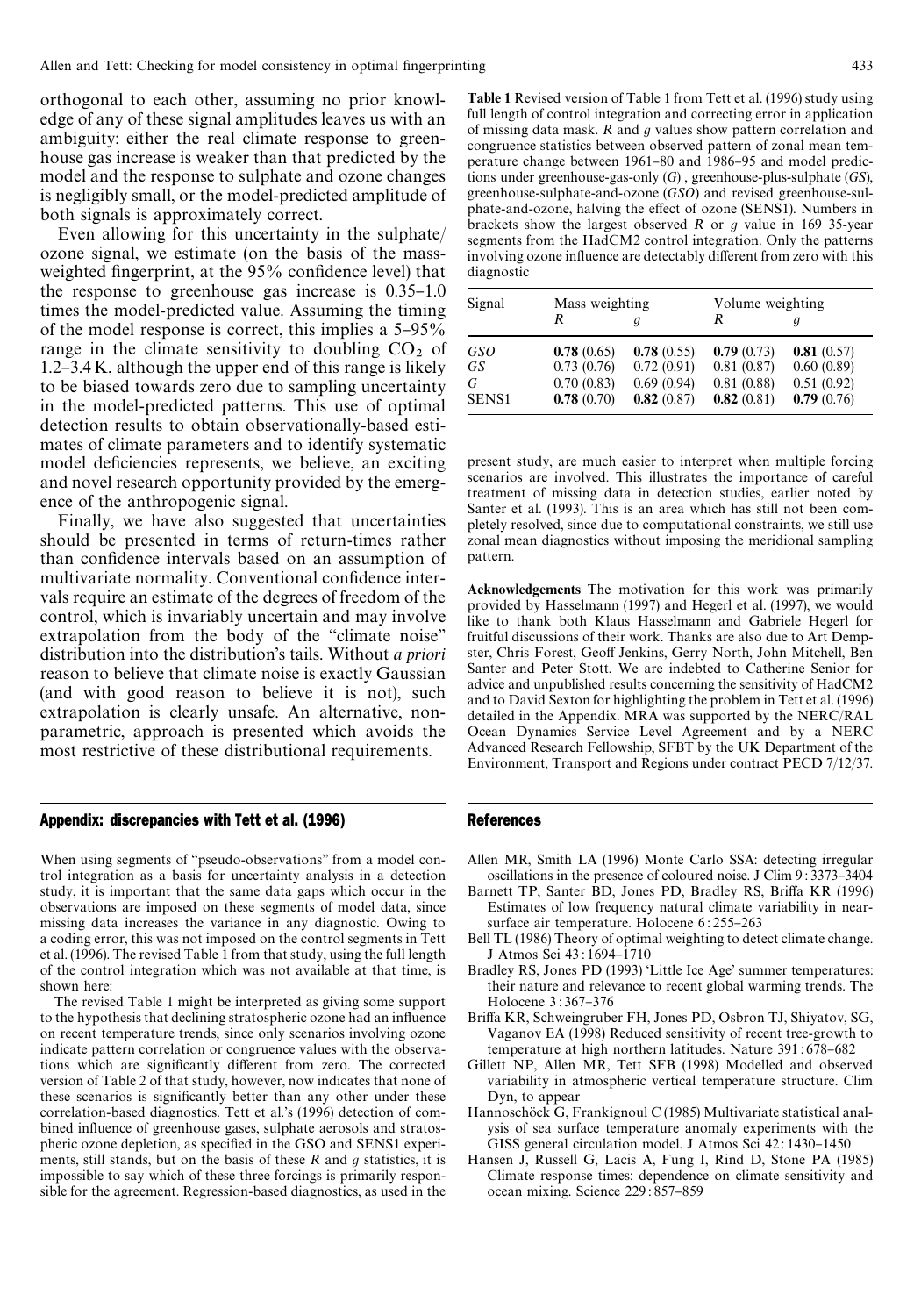orthogonal to each other, assuming no prior knowledge of any of these signal amplitudes leaves us with an ambiguity: either the real climate response to greenhouse gas increase is weaker than that predicted by the model and the response to sulphate and ozone changes is negligibly small, or the model-predicted amplitude of both signals is approximately correct.

Even allowing for this uncertainty in the sulphate/ ozone signal, we estimate (on the basis of the massweighted fingerprint, at the 95% confidence level) that the response to greenhouse gas increase is  $0.35-1.0$ times the model-predicted value. Assuming the timing of the model response is correct, this implies a  $5-95\%$ range in the climate sensitivity to doubling  $CO<sub>2</sub>$  of  $1.2 - 3.4 K$ , although the upper end of this range is likely to be biased towards zero due to sampling uncertainty in the model-predicted patterns. This use of optimal detection results to obtain observationally-based estimates of climate parameters and to identify systematic model deficiencies represents, we believe, an exciting and novel research opportunity provided by the emergence of the anthropogenic signal.

Finally, we have also suggested that uncertainties should be presented in terms of return-times rather than confidence intervals based on an assumption of multivariate normality. Conventional confidence intervals require an estimate of the degrees of freedom of the control, which is invariably uncertain and may involve extrapolation from the body of the "climate noise" distribution into the distribution's tails. Without *a priori* reason to believe that climate noise is exactly Gaussian (and with good reason to believe it is not), such extrapolation is clearly unsafe. An alternative, nonparametric, approach is presented which avoids the most restrictive of these distributional requirements.

# Appendix: discrepancies with Tett et al. (1996)

When using segments of "pseudo-observations" from a model control integration as a basis for uncertainty analysis in a detection study, it is important that the same data gaps which occur in the observations are imposed on these segments of model data, since missing data increases the variance in any diagnostic. Owing to a coding error, this was not imposed on the control segments in Tett et al. (1996). The revised Table 1 from that study, using the full length of the control integration which was not available at that time, is shown here:

The revised Table 1 might be interpreted as giving some support to the hypothesis that declining stratospheric ozone had an influence on recent temperature trends, since only scenarios involving ozone indicate pattern correlation or congruence values with the observations which are significantly different from zero. The corrected version of Table 2 of that study, however, now indicates that none of these scenarios is significantly better than any other under these correlation-based diagnostics. Tett et al.'s (1996) detection of combined influence of greenhouse gases, sulphate aerosols and stratospheric ozone depletion, as specified in the GSO and SENS1 experiments, still stands, but on the basis of these *R* and *g* statistics, it is impossible to say which of these three forcings is primarily responsible for the agreement. Regression-based diagnostics, as used in the

Table 1 Revised version of Table 1 from Tett et al. (1996) study using full length of control integration and correcting error in application of missing data mask. *R* and *g* values show pattern correlation and congruence statistics between observed pattern of zonal mean temperature change between 1961–80 and 1986–95 and model predictions under greenhouse-gas-only (*G*) , greenhouse-plus-sulphate (*GS*), greenhouse-sulphate-and-ozone (*GSO*) and revised greenhouse-sulphate-and-ozone, halving the effect of ozone (SENS1). Numbers in brackets show the largest observed *R* or *g* value in 169 35-year segments from the HadCM2 control integration. Only the patterns involving ozone influence are detectably different from zero with this diagnostic

| Signal       | Mass weighting |            | Volume weighting |            |
|--------------|----------------|------------|------------------|------------|
|              |                |            | R                |            |
| GSO          | 0.78(0.65)     | 0.78(0.55) | 0.79(0.73)       | 0.81(0.57) |
| GS           | 0.73(0.76)     | 0.72(0.91) | 0.81(0.87)       | 0.60(0.89) |
| G            | 0.70(0.83)     | 0.69(0.94) | 0.81(0.88)       | 0.51(0.92) |
| <b>SENS1</b> | 0.78(0.70)     | 0.82(0.87) | 0.82(0.81)       | 0.79(0.76) |

present study, are much easier to interpret when multiple forcing scenarios are involved. This illustrates the importance of careful treatment of missing data in detection studies, earlier noted by Santer et al. (1993). This is an area which has still not been completely resolved, since due to computational constraints, we still use zonal mean diagnostics without imposing the meridional sampling pattern.

Acknowledgements The motivation for this work was primarily provided by Hasselmann (1997) and Hegerl et al. (1997), we would like to thank both Klaus Hasselmann and Gabriele Hegerl for fruitful discussions of their work. Thanks are also due to Art Dempster, Chris Forest, Geoff Jenkins, Gerry North, John Mitchell, Ben Santer and Peter Stott. We are indebted to Catherine Senior for advice and unpublished results concerning the sensitivity of HadCM2 and to David Sexton for highlighting the problem in Tett et al. (1996) detailed in the Appendix. MRA was supported by the NERC/RAL Ocean Dynamics Service Level Agreement and by a NERC Advanced Research Fellowship, SFBT by the UK Department of the Environment, Transport and Regions under contract PECD 7/12/37.

# References

- Allen MR, Smith LA (1996) Monte Carlo SSA: detecting irregular oscillations in the presence of coloured noise. J Clim 9:3373-3404
- Barnett TP, Santer BD, Jones PD, Bradley RS, Briffa KR (1996) Estimates of low frequency natural climate variability in nearsurface air temperature. Holocene 6:255-263
- Bell TL (1986) Theory of optimal weighting to detect climate change. J Atmos Sci 43:1694-1710
- Bradley RS, Jones PD (1993) 'Little Ice Age' summer temperatures: their nature and relevance to recent global warming trends. The Holocene 3:367-376
- Briffa KR, Schweingruber FH, Jones PD, Osbron TJ, Shiyatov, SG, Vaganov EA (1998) Reduced sensitivity of recent tree-growth to temperature at high northern latitudes. Nature 391:678-682
- Gillett NP, Allen MR, Tett SFB (1998) Modelled and observed variability in atmospheric vertical temperature structure. Clim Dyn, to appear
- Hannoschöck G, Frankignoul C (1985) Multivariate statistical analysis of sea surface temperature anomaly experiments with the GISS general circulation model. J Atmos Sci 42:1430-1450
- Hansen J, Russell G, Lacis A, Fung I, Rind D, Stone PA (1985) Climate response times: dependence on climate sensitivity and ocean mixing. Science 229:857-859